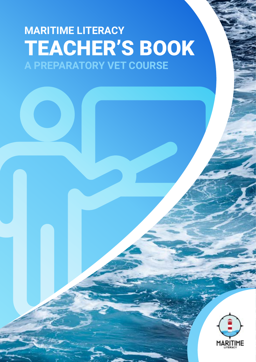# **A PREPARATORY VET COURSE** TEACHER'S BOOK **MARITIME LITERACY**

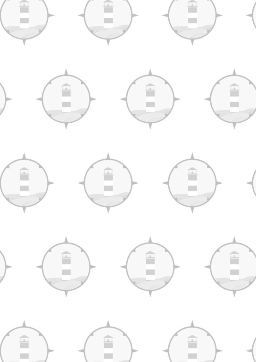







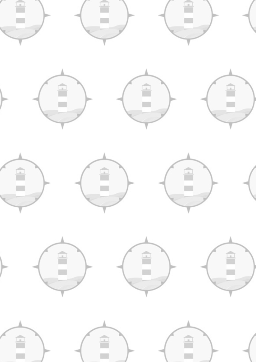







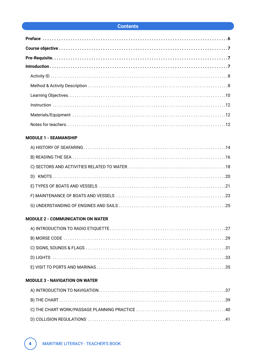#### **Contents**

#### **MODULE 1 - SEAMANSHIP**

#### **MODULE 2 - COMMUNICATION ON WATER**

#### **MODULE 3 - NAVIGATION ON WATER**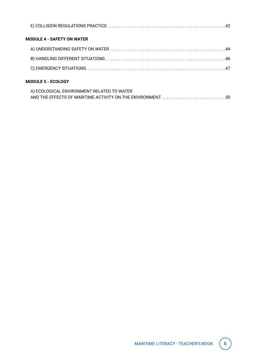| <b>MODULE 4 - SAFETY ON WATER</b> |  |
|-----------------------------------|--|
|                                   |  |
|                                   |  |
|                                   |  |
|                                   |  |

#### **[MODULE 5 - ECOLOGY](#page-49-0)**

| A) ECOLOGICAL ENVIRONMENT RELATED TO WATER                 |  |
|------------------------------------------------------------|--|
| AND THE EFFECTS OF MARITIME ACTIVITY ON THE ENVIRONMENT 50 |  |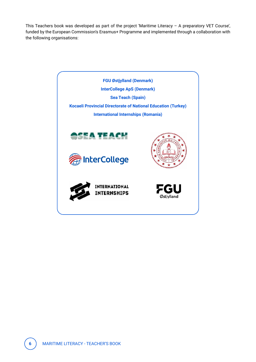<span id="page-5-0"></span>This Teachers book was developed as part of the project 'Maritime Literacy – A preparatory VET Course', funded by the European Commission's Erasmus+ Programme and implemented through a collaboration with the following organisations:

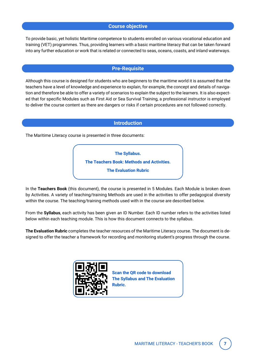#### **Course objective**

<span id="page-6-0"></span>To provide basic, yet holistic Maritime competence to students enrolled on various vocational education and training (VET) programmes. Thus, providing learners with a basic maritime literacy that can be taken forward into any further education or work that is related or connected to seas, oceans, coasts, and inland waterways.

#### **Pre-Requisite**

Although this course is designed for students who are beginners to the maritime world it is assumed that the teachers have a level of knowledge and experience to explain, for example, the concept and details of navigation and therefore be able to offer a variety of scenarios to explain the subject to the learners. It is also expected that for specific Modules such as First Aid or Sea Survival Training, a professional instructor is employed to deliver the course content as there are dangers or risks if certain procedures are not followed correctly.

#### **Introduction**

The Maritime Literacy course is presented in three documents:

**The Syllabus. The Teachers Book: Methods and Activities. The Evaluation Rubric**

In the **Teachers Book** (this document), the course is presented in 5 Modules. Each Module is broken down by Activities. A variety of teaching/training Methods are used in the activities to offer pedagogical diversity within the course. The teaching/training methods used with in the course are described below.

From the **Syllabus**, each activity has been given an ID Number. Each ID number refers to the activities listed below within each teaching module. This is how this document connects to the syllabus.

**The Evaluation Rubric** completes the teacher resources of the Maritime Literacy course. The document is designed to offer the teacher a framework for recording and monitoring student's progress through the course.



**Scan the QR code to download [The Syllabus and The Evaluation](https://l.facebook.com/l.php?u=https%3A%2F%2Fintercollege.companycloud.dk%2Findex.php%2Fs%2FFmStcT6Rnix9XSr%3Ffbclid%3DIwAR075uTjKxYr9kRG0AqcA7FrVSFbAdjSHCjzJ37vdbaoctim2uqQaIbzOCY&h=AT07pjg_fdE3fnaRnGFEjblenvkY6-14Iwik8reyE-z9QtwYsOvjYbVYXlRtbN6x-UGbvgbEnIwsriR1rfDnthVDcpFSR8sWklsQwioQ_KHwpZNvkevwU4QFPwAxizEHFnm66w)  Rubric.**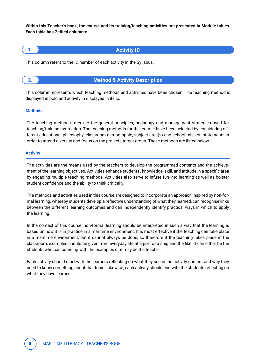<span id="page-7-0"></span>**Within this Teacher's book, the course and its training/teaching activities are presented in Module tables. Each table has 7 titled columns:**

1.

#### **Activity ID**

This column refers to the ID number of each activity in the Syllabus.

#### 2.

#### **Method & Activity Description**

This column represents which teaching methods and activities have been chosen. The teaching method is displayed in bold and activity in displayed in italic.

#### **Methods**

The teaching methods refers to the general principles, pedagogy and management strategies used for teaching/training instruction. The teaching methods for this course have been selected by considering different educational philosophy, classroom demographic, subject area(s) and school mission statements in order to attend diversity and focus on the projects target group. These methods are listed below.

#### **Activity**

The activities are the means used by the teachers to develop the programmed contents and the achievement of the learning objectives. Activities enhance students', knowledge, skill, and attitude in a specific area by engaging multiple teaching methods. Activities also serve to infuse fun into learning as well as bolster student confidence and the ability to think critically.

The methods and activities used in this course are designed to incorporate an approach inspired by non-formal learning, whereby students develop a reflective understanding of what they learned, can recognise links between the different learning outcomes and can independently identify practical ways in which to apply the learning.

In the context of this course, non-formal learning should be interpreted in such a way that the learning is based on how it is in practice in a maritime environment. It is most effective if the teaching can take place in a maritime environment, but it cannot always be done, so therefore if the teaching takes place in the classroom, examples should be given from everyday life at a port or a ship and the like. It can either be the students who can come up with the examples or it may be the teacher.

Each activity should start with the learners reflecting on what they see in the activity content and why they need to know something about that topic. Likewise, each activity should end with the students reflecting on what they have learned.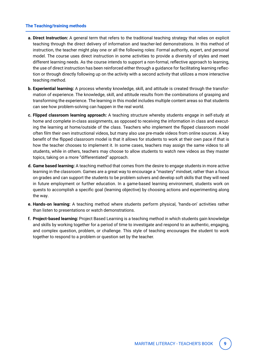#### **The Teaching/training methods**

- **a. Direct Instruction:** A general term that refers to the traditional teaching strategy that relies on explicit teaching through the direct delivery of information and teacher-led demonstrations. In this method of instruction, the teacher might play one or all the following roles: Formal authority, expert, and personal model. The course uses direct instruction in some activities to provide a diversity of styles and meet different learning needs. As the course intends to support a non-formal, reflective approach to learning, the use of direct instruction has been reinforced either through a guidance for facilitating learning reflection or through directly following up on the activity with a second activity that utilizes a more interactive teaching method.
- **b. Experiential learning:** A process whereby knowledge, skill, and attitude is created through the transformation of experience. The knowledge, skill, and attitude results from the combinations of grasping and transforming the experience. The learning in this model includes multiple content areas so that students can see how problem-solving can happen in the real world.
- **c. Flipped classroom learning approach:** A teaching structure whereby students engage in self-study at home and complete in-class assignments, as opposed to receiving the information in class and executing the learning at home/outside of the class. Teachers who implement the flipped classroom model often film their own instructional videos, but many also use pre-made videos from online sources. A key benefit of the flipped classroom model is that it allows for students to work at their own pace if that is how the teacher chooses to implement it. In some cases, teachers may assign the same videos to all students, while in others, teachers may choose to allow students to watch new videos as they master topics, taking on a more "differentiated" approach.
- **d. Game based learning:** A teaching method that comes from the desire to engage students in more active learning in the classroom. Games are a great way to encourage a "mastery" mindset, rather than a focus on grades and can support the students to be problem solvers and develop soft skills that they will need in future employment or further education. In a game-based learning environment, students work on quests to accomplish a specific goal (learning objective) by choosing actions and experimenting along the way.
- **e. Hands-on learning:** A teaching method where students perform physical, 'hands-on' activities rather than listen to presentations or watch demonstrations.
- **f. Project-based learning:** Project Based Learning is a teaching method in which students gain knowledge and skills by working together for a period of time to investigate and respond to an authentic, engaging, and complex question, problem, or challenge. This style of teaching encourages the student to work together to respond to a problem or question set by the teacher.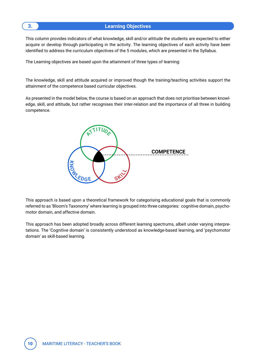#### **Learning Objectives**

This column provides indicators of what knowledge, skill and/or attitude the students are expected to either acquire or develop through participating in the activity. The learning objectives of each activity have been identified to address the curriculum objectives of the 5 modules, which are presented in the Syllabus.

The Learning objectives are based upon the attainment of three types of learning:

The knowledge, skill and attitude acquired or improved though the training/teaching activities support the attainment of the competence based curricular objectives.

As presented in the model below, the course is based on an approach that does not prioritise between knowledge, skill, and attitude, but rather recognises their inter-relation and the importance of all three in building competence.



This approach is based upon a theoretical framework for categorising educational goals that is commonly referred to as 'Bloom's Taxonomy' where learning is grouped into three categories: cognitive domain, psychomotor domain, and affective domain.

This approach has been adopted broadly across different learning spectrums, albeit under varying interpretations. The 'Cognitive domain' is consistently understood as knowledge-based learning, and 'psychomotor domain' as skill-based learning.

**10** MARITIME LITERACY - TEACHER'S BOOK

<span id="page-9-0"></span>3.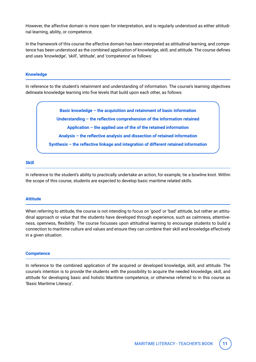However, the affective domain is more open for interpretation, and is regularly understood as either attitudinal learning, ability, or competence.

In the framework of this course the affective domain has been interpreted as attitudinal learning, and competence has been understood as the combined application of knowledge, skill, and attitude. The course defines and uses 'knowledge', 'skill', 'attitude', and 'competence' as follows:

#### **Knowledge**

In reference to the student's retainment and understanding of information. The course's learning objectives delineate knowledge learning into five levels that build upon each other, as follows:

> **Basic knowledge – the acquisition and retainment of basic information Understanding – the reflective comprehension of the information retained Application – the applied use of the of the retained information Analysis – the reflective analysis and dissection of retained information Synthesis – the reflective linkage and integration of different retained information**

#### **Skill**

In reference to the student's ability to practically undertake an action, for example, tie a bowline knot. Within the scope of this course, students are expected to develop basic maritime related skills.

#### **Attitude**

When referring to attitude, the course is not intending to focus on 'good' or 'bad' attitude, but rather an attitudinal approach or value that the students have developed through experience, such as calmness, attentiveness, openness, flexibility. The course focusses upon attitudinal learning to encourage students to build a connection to maritime culture and values and ensure they can combine their skill and knowledge effectively in a given situation.

#### **Competence**

In reference to the combined application of the acquired or developed knowledge, skill, and attitude. The course's intention is to provide the students with the possibility to acquire the needed knowledge, skill, and attitude for developing basic and holistic Maritime competence, or otherwise referred to in this course as 'Basic Maritime Literacy'.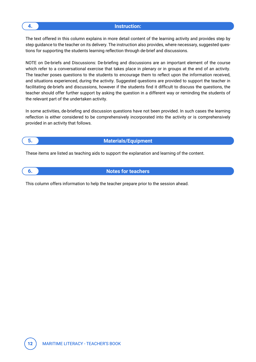#### **Instruction:**

The text offered in this column explains in more detail content of the learning activity and provides step by step guidance to the teacher on its delivery. The instruction also provides, where necessary, suggested questions for supporting the students learning reflection through de-brief and discussions.

NOTE on De-briefs and Discussions: De-briefing and discussions are an important element of the course which refer to a conversational exercise that takes place in plenary or in groups at the end of an activity. The teacher poses questions to the students to encourage them to reflect upon the information received, and situations experienced, during the activity. Suggested questions are provided to support the teacher in facilitating de-briefs and discussions, however if the students find it difficult to discuss the questions, the teacher should offer further support by asking the question in a different way or reminding the students of the relevant part of the undertaken activity.

In some activities, de-briefing and discussion questions have not been provided. In such cases the learning reflection is either considered to be comprehensively incorporated into the activity or is comprehensively provided in an activity that follows.

#### 5.

#### **Materials/Equipment**

These items are listed as teaching aids to support the explanation and learning of the content.



**Notes for teachers**

This column offers information to help the teacher prepare prior to the session ahead.

<span id="page-11-0"></span>4.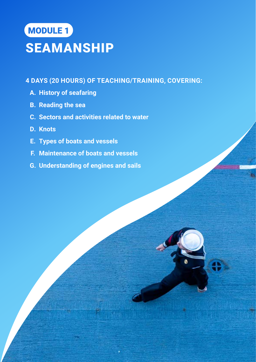## MODULE 1 SEAMANSHIP

### **4 DAYS (20 HOURS) OF TEACHING/TRAINING, COVERING:**

MARITIME LITERACY - TEACHER'S BOOK **13**

45

- **A. History of seafaring**
- **B. Reading the sea**
- **C. Sectors and activities related to water**
- **D. Knots**
- **E. Types of boats and vessels**
- **F. Maintenance of boats and vessels**
- **G. Understanding of engines and sails**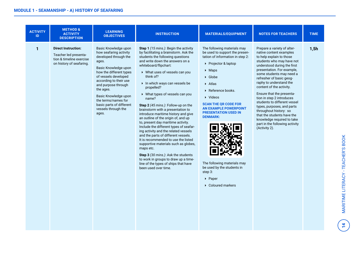<span id="page-13-0"></span>

| <b>ACTIVITY</b><br>ID | <b>METHOD &amp;</b><br><b>ACTIVITY</b><br><b>DESCRIPTION</b>                                                | <b>LEARNING</b><br><b>OBJECTIVES</b>                                                                                                                                                                                                                                                                                                 | <b>INSTRUCTION</b>                                                                                                                                                                                                                                                                                                                                                                                                                                                                                                                                                                                                                                                                                                                                                                                                                                                                          | <b>MATERIALS/EQUIPMENT</b>                                                                                                                                                                                                                                                                                                                                                                                                                                                                       | <b>NOTES FOR TEACHERS</b>                                                                                                                                                                                                                                                                                                                                                                                                                                                                                                                                    | <b>TIME</b> |
|-----------------------|-------------------------------------------------------------------------------------------------------------|--------------------------------------------------------------------------------------------------------------------------------------------------------------------------------------------------------------------------------------------------------------------------------------------------------------------------------------|---------------------------------------------------------------------------------------------------------------------------------------------------------------------------------------------------------------------------------------------------------------------------------------------------------------------------------------------------------------------------------------------------------------------------------------------------------------------------------------------------------------------------------------------------------------------------------------------------------------------------------------------------------------------------------------------------------------------------------------------------------------------------------------------------------------------------------------------------------------------------------------------|--------------------------------------------------------------------------------------------------------------------------------------------------------------------------------------------------------------------------------------------------------------------------------------------------------------------------------------------------------------------------------------------------------------------------------------------------------------------------------------------------|--------------------------------------------------------------------------------------------------------------------------------------------------------------------------------------------------------------------------------------------------------------------------------------------------------------------------------------------------------------------------------------------------------------------------------------------------------------------------------------------------------------------------------------------------------------|-------------|
| $\mathbf{1}$          | <b>Direct Instruction:</b><br>Teacher led presenta-<br>tion & timeline exercise<br>on history of seafaring. | Basic Knowledge upon<br>how seafaring activity<br>developed through the<br>ages.<br>Basic Knowledge upon<br>how the different types<br>of vessels developed<br>according to their use<br>and purpose through<br>the ages.<br>Basic Knowledge upon<br>the terms/names for<br>basic parts of different<br>vessels through the<br>ages. | Step 1 (15 mins.): Begin the activity<br>by facilitating a brainstorm. Ask the<br>students the following questions<br>and write down the answers on a<br>whiteboard/flipchart:<br>▶ What uses of vessels can you<br>think of?<br>In which ways can vessels be<br>propelled?<br>• What types of vessels can you<br>name?<br>Step 2 (45 mins.): Follow-up on the<br>brainstorm with a presentation to<br>introduce maritime history and give<br>an outline of the origin of, and up<br>to, present day maritime activity.<br>Include the different types of seafar-<br>ing activity and the related vessels<br>and the parts of different vessels.<br>It is recommended to use the listed<br>supportive materials such as globes,<br>maps etc.<br>Step 3 (30 mins.): Ask the students<br>to work in groups to draw up a time-<br>line of the types of ships that have<br>been used over time. | The following materials may<br>be used to support the presen-<br>tation of information in step 2:<br>▶ Projector & laptop<br>$\triangleright$ Maps<br>$\triangleright$ Globe<br>$\triangleright$ Atlas<br>▶ Reference books.<br>$\triangleright$ Videos<br><b>SCAN THE QR CODE FOR</b><br><b>AN EXAMPLE POWERPOINT</b><br><b>PRESENTATION USED IN</b><br><b>DENMARK:</b><br>The following materials may<br>be used by the students in<br>step 3:<br>$\triangleright$ Paper<br>▶ Coloured markers | Prepare a variety of alter-<br>native content examples<br>to help explain to those<br>students who may have not<br>understood during the first<br>presentation. For example,<br>some students may need a<br>refresher of basic geog-<br>raphy to understand the<br>content of the activity.<br>Ensure that the presenta-<br>tion in step 2 introduces<br>students to different vessel<br>types, purposes, and parts<br>throughout history: so<br>that the students have the<br>knowledge required to take<br>part in the following activity<br>(Activity 2). | 1,5h        |

 $\begin{bmatrix} 1 \\ 4 \end{bmatrix}$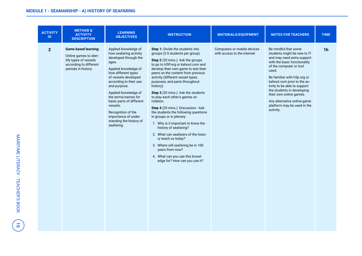| <b>ACTIVITY</b><br>ID. | <b>METHOD &amp;</b><br><b>ACTIVITY</b><br><b>DESCRIPTION</b>                                                                   | <b>LEARNING</b><br><b>OBJECTIVES</b>                                                                                                                                                                                                                                                                                                                                            | <b>INSTRUCTION</b>                                                                                                                                                                                                                                                                                                                                                                                                                                                                                                                                                                                                                                                                                                                                                        | <b>MATERIALS/EQUIPMENT</b>                                 | <b>NOTES FOR TEACHERS</b>                                                                                                                                                                                                                                                                                                                                                               | <b>TIME</b>    |
|------------------------|--------------------------------------------------------------------------------------------------------------------------------|---------------------------------------------------------------------------------------------------------------------------------------------------------------------------------------------------------------------------------------------------------------------------------------------------------------------------------------------------------------------------------|---------------------------------------------------------------------------------------------------------------------------------------------------------------------------------------------------------------------------------------------------------------------------------------------------------------------------------------------------------------------------------------------------------------------------------------------------------------------------------------------------------------------------------------------------------------------------------------------------------------------------------------------------------------------------------------------------------------------------------------------------------------------------|------------------------------------------------------------|-----------------------------------------------------------------------------------------------------------------------------------------------------------------------------------------------------------------------------------------------------------------------------------------------------------------------------------------------------------------------------------------|----------------|
| $\overline{2}$         | <b>Game based learning:</b><br>Online games to iden-<br>tify types of vessels<br>according to different<br>periods in history. | Applied knowledge of<br>how seafaring activity<br>developed through the<br>ages.<br>Applied knowledge of<br>how different types<br>of vessels developed<br>according to their use<br>and purpose.<br>Applied knowledge of<br>the terms/names for<br>basic parts of different<br>vessels.<br>Recognition of the<br>importance of under-<br>standing the history of<br>seafaring. | Step 1: Divide the students into<br>groups (2-5 students per group).<br>Step 2 (20 mins.): Ask the groups<br>to go to H5P.org or kahoot.com and<br>develop their own game to test their<br>peers on the content from previous<br>activity (different vessel types,<br>purposes, and parts throughout<br>history).<br>Step 3 (20 mins.): Ask the students<br>to play each other's games on<br>rotation.<br>Step 4 (20 mins.): Discussion - Ask<br>the students the following questions<br>in groups or in plenary:<br>1. Why is it important to know the<br>history of seafaring?<br>2. What can seafarers of the histo-<br>ry teach us today?<br>3. Where will seafaring be in 100<br>years from now?<br>4. What can you use this knowl-<br>edge for? How can you use it? | Computers or mobile devices<br>with access to the internet | Be mindful that some<br>students might be new to IT<br>and may need extra support<br>with the basic functionality<br>of the computer or tool<br>used.<br>Be familiar with h5p.org or<br>kahoot.com prior to the ac-<br>tivity to be able to support<br>the students in developing<br>their own online games.<br>Any alternative online-game<br>platform may be used in the<br>activity. | 1 <sub>h</sub> |

 $\mathbf{a}$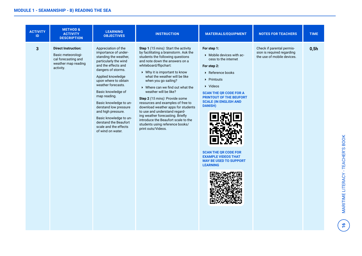<span id="page-15-0"></span>

| <b>ACTIVITY</b><br>ID | <b>METHOD &amp;</b><br><b>ACTIVITY</b><br><b>DESCRIPTION</b>                                                | <b>LEARNING</b><br><b>OBJECTIVES</b>                                                                                                                                                                                                                                                                                                                                                                                          | <b>INSTRUCTION</b>                                                                                                                                                                                                                                                                                                                                                                                                                                                                                                                                                                                                                   | <b>MATERIALS/EQUIPMENT</b>                                                                                                                                                                                                                                                                                                                                                                          | <b>NOTES FOR TEACHERS</b>                                                             | <b>TIME</b> |
|-----------------------|-------------------------------------------------------------------------------------------------------------|-------------------------------------------------------------------------------------------------------------------------------------------------------------------------------------------------------------------------------------------------------------------------------------------------------------------------------------------------------------------------------------------------------------------------------|--------------------------------------------------------------------------------------------------------------------------------------------------------------------------------------------------------------------------------------------------------------------------------------------------------------------------------------------------------------------------------------------------------------------------------------------------------------------------------------------------------------------------------------------------------------------------------------------------------------------------------------|-----------------------------------------------------------------------------------------------------------------------------------------------------------------------------------------------------------------------------------------------------------------------------------------------------------------------------------------------------------------------------------------------------|---------------------------------------------------------------------------------------|-------------|
| 3                     | <b>Direct Instruction:</b><br>Basic meteorologi-<br>cal forecasting and<br>weather map reading<br>activity. | Appreciation of the<br>importance of under-<br>standing the weather,<br>particularly the wind<br>and the effects and<br>dangers of storms.<br>Applied knowledge<br>upon where to obtain<br>weather forecasts.<br>Basic knowledge of<br>map reading.<br>Basic knowledge to un-<br>derstand low pressure<br>and high pressure.<br>Basic knowledge to un-<br>derstand the Beaufort<br>scale and the effects<br>of wind on water. | Step 1 (15 mins): Start the activity<br>by facilitating a brainstorm. Ask the<br>students the following questions<br>and note down the answers on a<br>whiteboard/flipchart:<br>▶ Why it is important to know<br>what the weather will be like<br>when you go sailing?<br>$\triangleright$ Where can we find out what the<br>weather will be like?<br>Step 2 (15 mins): Provide some<br>resources and examples of free to<br>download weather apps for students<br>to use and understand regard-<br>ing weather forecasting. Briefly<br>introduce the Beaufort scale to the<br>students using reference books/<br>print outs/Videos. | For step 1:<br>• Mobile devices with ac-<br>cess to the internet<br>For step 2:<br>▶ Reference books<br>$\triangleright$ Printouts<br>$\triangleright$ Videos<br><b>SCAN THE QR CODE FOR A</b><br><b>PRINTOUT OF THE BEUFORT</b><br><b>SCALE (IN ENGLISH AND</b><br><b>DANISH)</b><br><b>SCAN THE QR CODE FOR</b><br><b>EXAMPLE VIDEOS THAT</b><br><b>MAY BE USED TO SUPPORT</b><br><b>LEARNING</b> | Check if parental permis-<br>sion is required regarding<br>the use of mobile devices. | 0,5h        |

 $\left( \frac{1}{2} \right)$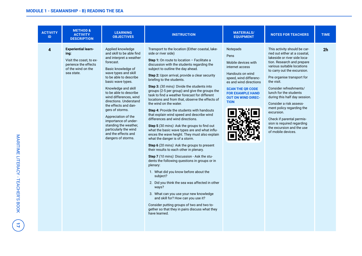| <b>ACTIVITY</b><br>ID | <b>METHOD &amp;</b><br><b>ACTIVITY</b><br><b>DESCRIPTION</b>                                                              | <b>LEARNING</b><br><b>OBJECTIVES</b>                                                                                                                                                                                                                                                                                                                                                                                                                                              | <b>INSTRUCTION</b>                                                                                                                                                                                                                                                                                                                                                                                                                                                                                                                                                                                                                                                                                                                                                                                                                                                                                                                                                                                                                                                                                                                                                                                                                                                                                                                                                | <b>MATERIALS/</b><br><b>EQUIPMENT</b>                                                                                                                                                                                                | <b>NOTES FOR TEACHERS</b>                                                                                                                                                                                                                                                                                                                                                                                                                                                                                     | <b>TIME</b>    |
|-----------------------|---------------------------------------------------------------------------------------------------------------------------|-----------------------------------------------------------------------------------------------------------------------------------------------------------------------------------------------------------------------------------------------------------------------------------------------------------------------------------------------------------------------------------------------------------------------------------------------------------------------------------|-------------------------------------------------------------------------------------------------------------------------------------------------------------------------------------------------------------------------------------------------------------------------------------------------------------------------------------------------------------------------------------------------------------------------------------------------------------------------------------------------------------------------------------------------------------------------------------------------------------------------------------------------------------------------------------------------------------------------------------------------------------------------------------------------------------------------------------------------------------------------------------------------------------------------------------------------------------------------------------------------------------------------------------------------------------------------------------------------------------------------------------------------------------------------------------------------------------------------------------------------------------------------------------------------------------------------------------------------------------------|--------------------------------------------------------------------------------------------------------------------------------------------------------------------------------------------------------------------------------------|---------------------------------------------------------------------------------------------------------------------------------------------------------------------------------------------------------------------------------------------------------------------------------------------------------------------------------------------------------------------------------------------------------------------------------------------------------------------------------------------------------------|----------------|
| 4                     | <b>Experiential learn-</b><br>ing:<br>Visit the coast, to ex-<br>perience the effects<br>of the wind on the<br>sea state. | Applied knowledge<br>and skill to be able find<br>and interpret a weather<br>forecast.<br>Basic knowledge of<br>wave types and skill<br>to be able to describe<br>basic wave types.<br>Knowledge and skill<br>to be able to describe<br>wind differences, wind<br>directions. Understand<br>the effects and dan-<br>gers of storms.<br>Appreciation of the<br>importance of under-<br>standing the weather,<br>particularly the wind<br>and the effects and<br>dangers of storms. | Transport to the location (Either coastal, lake-<br>side or river side)<br>Step 1: On route to location - Facilitate a<br>discussion with the students regarding the<br>subject to outline the day ahead.<br>Step 2: Upon arrival, provide a clear security<br>briefing to the students.<br>Step 3: (30 mins): Divide the students into<br>groups (2-5 per group) and give the groups the<br>task to find a weather forecast for different<br>locations and from that, observe the effects of<br>the wind on the water.<br>Step 4: Provide the students with handouts<br>that explain wind speed and describe wind<br>differences and wind directions.<br>Step 5 (30 mins): Ask the groups to find out<br>what the basic wave types are and what influ-<br>ences the wave height. They must also explain<br>what the danger is of a storm.<br>Step 6 (20 mins): Ask the groups to present<br>their results to each other in plenary.<br>Step 7 (10 mins): Discussion - Ask the stu-<br>dents the following questions in groups or in<br>plenary:<br>1. What did you know before about the<br>subject?<br>2. Did you think the sea was affected in other<br>ways?<br>3. What can you use your new knowledge<br>and skill for? How can you use it?<br>Consider putting groups of two and two to-<br>gether so that they in pairs discuss what they<br>have learned. | Notepads<br>Pens<br>Mobile devices with<br>internet access<br>Handouts on wind<br>speed, wind differenc-<br>es and wind directions<br><b>SCAN THE QR CODE</b><br><b>FOR EXAMPLE HAND</b><br><b>OUT ON WIND DIREC-</b><br><b>TION</b> | This activity should be car-<br>ried out either at a coastal,<br>lakeside or river side loca-<br>tion. Research and prepare<br>various suitable locations<br>to carry out the excursion.<br>Pre organise transport for<br>the visit.<br>Consider refreshments/<br>lunch for the students<br>during this half day session.<br>Consider a risk assess-<br>ment policy regarding the<br>excursion.<br>Check if parental permis-<br>sion is required regarding<br>the excursion and the use<br>of mobile devices. | 2 <sub>h</sub> |

 $\mathbf{L}$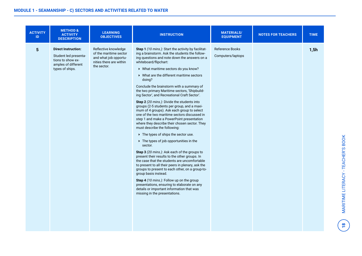<span id="page-17-0"></span>

| <b>ACTIVITY</b><br>ID. | <b>METHOD &amp;</b><br><b>ACTIVITY</b><br><b>DESCRIPTION</b>                                                       | <b>LEARNING</b><br><b>OBJECTIVES</b>                                                                              | <b>INSTRUCTION</b>                                                                                                                                                                                                                                                                                                                                                                                                                                                                                                                                                                                                                                                                                                                                                                                                                                                                                                                                                                                                                                                                                                                                                                                                                                                                                         | <b>MATERIALS/</b><br><b>EQUIPMENT</b>       | <b>NOTES FOR TEACHERS</b> | <b>TIME</b> |
|------------------------|--------------------------------------------------------------------------------------------------------------------|-------------------------------------------------------------------------------------------------------------------|------------------------------------------------------------------------------------------------------------------------------------------------------------------------------------------------------------------------------------------------------------------------------------------------------------------------------------------------------------------------------------------------------------------------------------------------------------------------------------------------------------------------------------------------------------------------------------------------------------------------------------------------------------------------------------------------------------------------------------------------------------------------------------------------------------------------------------------------------------------------------------------------------------------------------------------------------------------------------------------------------------------------------------------------------------------------------------------------------------------------------------------------------------------------------------------------------------------------------------------------------------------------------------------------------------|---------------------------------------------|---------------------------|-------------|
| 5                      | <b>Direct Instruction:</b><br>Student led presenta-<br>tions to show ex-<br>amples of different<br>types of ships. | Reflective knowledge<br>of the maritime sector<br>and what job opportu-<br>nities there are within<br>the sector. | Step 1 (10 mins.): Start the activity by facilitat-<br>ing a brainstorm. Ask the students the follow-<br>ing questions and note down the answers on a<br>whiteboard/flipchart:<br>• What maritime sectors do you know?<br>▶ What are the different maritime sectors<br>doing?<br>Conclude the brainstorm with a summary of<br>the two primary Maritime sectors, 'Shipbuild-<br>ing Sector', and Recreational Craft Sector'.<br>Step 2 (20 mins.): Divide the students into<br>groups (2-5 students per group, and a maxi-<br>mum of 4 groups). Ask each group to select<br>one of the two maritime sectors discussed in<br>step 1 and make a PowerPoint presentation<br>where they describe their chosen sector. They<br>must describe the following:<br>The types of ships the sector use.<br>The types of job opportunities in the<br>sector.<br>Step 3 (20 mins.): Ask each of the groups to<br>present their results to the other groups. In<br>the case that the students are uncomfortable<br>to present to all their peers in plenary, ask the<br>groups to present to each other, on a group-to-<br>group basis instead.<br>Step 4 (10 mins.): Follow up on the group<br>presentations, ensuring to elaborate on any<br>details or important information that was<br>missing in the presentations. | <b>Reference Books</b><br>Computers/laptops |                           | 1,5h        |

 $\left(\frac{8}{15}\right)$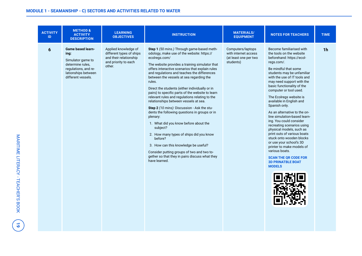| Applied knowledge of<br>Step 1 (50 mins.) Through game-based meth-<br>Become familiarised with<br><b>Game based learn-</b><br>Computers/laptops<br>6<br>1 <sub>h</sub><br>different types of ships<br>odology, make use of the website: https://<br>the tools on the website<br>with internet access<br>ing:<br>and their relationship<br>ecolregs.com/<br>(at least one per two<br>beforehand: https://ecol-<br>Simulator game to<br>and priority to each<br>students)<br>regs.com/.<br>The website provides a training simulator that<br>determine rules.<br>other.<br>offers interactive scenarios that explain rules<br>regulations, and re-<br>Be mindful that some<br>lationships between<br>and regulations and teaches the differences<br>students may be unfamiliar<br>different vessels.<br>between the vessels at sea regarding the<br>with the use of IT tools and<br>may need support with the<br>rules.<br>basic functionality of the<br>Direct the students (either individually or in<br>computer or tool used.<br>pairs) to specific parts of the website to learn<br>relevant rules and regulations relating to the<br>The Ecolregs website is<br>relationships between vessels at sea.<br>available in English and<br>Spanish only.<br>Step 2 (10 mins): Discussion - Ask the stu-<br>dents the following questions in groups or in<br>As an alternative to the on-<br>line simulation-based learn-<br>plenary:<br>ing. You could consider<br>1. What did you know before about the<br>recreating scenarios using<br>subject?<br>physical models, such as<br>print outs of various boats<br>2. How many types of ships did you know<br>stuck onto wooden blocks<br>before?<br>or use your school's 3D<br>3. How can this knowledge be useful?<br>printer to make models of<br>various boats.<br>Consider putting groups of two and two to- | <b>ACTIVITY</b><br>ID | <b>METHOD &amp;</b><br><b>ACTIVITY</b><br><b>DESCRIPTION</b> | <b>LEARNING</b><br><b>OBJECTIVES</b> | <b>INSTRUCTION</b>                             | <b>MATERIALS/</b><br><b>EQUIPMENT</b> | <b>NOTES FOR TEACHERS</b>   | <b>TIME</b> |
|---------------------------------------------------------------------------------------------------------------------------------------------------------------------------------------------------------------------------------------------------------------------------------------------------------------------------------------------------------------------------------------------------------------------------------------------------------------------------------------------------------------------------------------------------------------------------------------------------------------------------------------------------------------------------------------------------------------------------------------------------------------------------------------------------------------------------------------------------------------------------------------------------------------------------------------------------------------------------------------------------------------------------------------------------------------------------------------------------------------------------------------------------------------------------------------------------------------------------------------------------------------------------------------------------------------------------------------------------------------------------------------------------------------------------------------------------------------------------------------------------------------------------------------------------------------------------------------------------------------------------------------------------------------------------------------------------------------------------------------------------------------------------------------------------------------------------------------------------------------|-----------------------|--------------------------------------------------------------|--------------------------------------|------------------------------------------------|---------------------------------------|-----------------------------|-------------|
| have learned.<br><b>3D PRINATBLE BOAT</b><br><b>MODELS</b>                                                                                                                                                                                                                                                                                                                                                                                                                                                                                                                                                                                                                                                                                                                                                                                                                                                                                                                                                                                                                                                                                                                                                                                                                                                                                                                                                                                                                                                                                                                                                                                                                                                                                                                                                                                                    |                       |                                                              |                                      | gether so that they in pairs discuss what they |                                       | <b>SCAN THE QR CODE FOR</b> |             |

 $\overrightarrow{5}$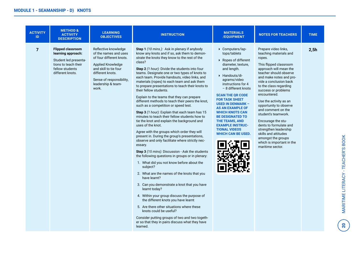<span id="page-19-0"></span>

| <b>ACTIVITY</b><br>ID. | <b>METHOD &amp;</b><br><b>ACTIVITY</b><br><b>DESCRIPTION</b>                                                                           | <b>LEARNING</b><br><b>OBJECTIVES</b>                                                                                                                                                                   | <b>INSTRUCTION</b>                                                                                                                                                                                                                                                                                                                                                                                                                                                                                                                                                                                                                                                                                                                                                                                                                                                                                                                                                                                                                                                                                                                                                                                                                                                                                                                                                                                                                                                                                          | <b>MATERIALS</b><br>/EQUIPMENT                                                                                                                                                                                                                                                                                                                                                                                                                                   | <b>NOTES FOR TEACHERS</b>                                                                                                                                                                                                                                                                                                                                                                                                                                                                                                             | <b>TIME</b> |
|------------------------|----------------------------------------------------------------------------------------------------------------------------------------|--------------------------------------------------------------------------------------------------------------------------------------------------------------------------------------------------------|-------------------------------------------------------------------------------------------------------------------------------------------------------------------------------------------------------------------------------------------------------------------------------------------------------------------------------------------------------------------------------------------------------------------------------------------------------------------------------------------------------------------------------------------------------------------------------------------------------------------------------------------------------------------------------------------------------------------------------------------------------------------------------------------------------------------------------------------------------------------------------------------------------------------------------------------------------------------------------------------------------------------------------------------------------------------------------------------------------------------------------------------------------------------------------------------------------------------------------------------------------------------------------------------------------------------------------------------------------------------------------------------------------------------------------------------------------------------------------------------------------------|------------------------------------------------------------------------------------------------------------------------------------------------------------------------------------------------------------------------------------------------------------------------------------------------------------------------------------------------------------------------------------------------------------------------------------------------------------------|---------------------------------------------------------------------------------------------------------------------------------------------------------------------------------------------------------------------------------------------------------------------------------------------------------------------------------------------------------------------------------------------------------------------------------------------------------------------------------------------------------------------------------------|-------------|
| $\overline{7}$         | <b>Flipped classroom</b><br>learning approach:<br>Student led presenta-<br>tions to teach their<br>fellow students<br>different knots. | Reflective knowledge<br>of the names and uses<br>of four different knots.<br>Applied Knowledge<br>and skill to tie four<br>different knots.<br>Sense of responsibility,<br>leadership & team-<br>work. | Step 1 (10 mins.): Ask in plenary if anybody<br>know any knots and if so, ask them to demon-<br>strate the knots they know to the rest of the<br>class?<br>Step 2 (1 hour): Divide the students into four<br>teams. Designate one or two types of knots to<br>each team. Provide handouts, video links, and<br>materials (ropes) to each team and ask them<br>to prepare presentations to teach their knots to<br>their fellow students.<br>Explain to the teams that they can prepare<br>different methods to teach their peers the knot,<br>such as a competition or speed test.<br><b>Step 3</b> (1 hour): Explain that each team has 15<br>minutes to teach their fellow students how to<br>tie the knot and explain the background and<br>uses of the knot.<br>Agree with the groups which order they will<br>present in. During the group's presentations,<br>observe and only facilitate where strictly nec-<br>essary.<br>Step 3 (15 mins): Discussion - Ask the students<br>the following questions in groups or in plenary:<br>1. What did you not know before about the<br>subject?<br>2. What are the names of the knots that you<br>have learnt?<br>3. Can you demonstrate a knot that you have<br>learnt today?<br>4. Within your group discuss the purpose of<br>the different knots you have learnt<br>5. Are there other situations where these<br>knots could be useful?<br>Consider putting groups of two and two togeth-<br>er so that they in pairs discuss what they have<br>learned. | Computers/lap-<br>tops/tablets<br>$\triangleright$ Ropes of different<br>diameter, texture,<br>and length.<br>Handouts/di-<br>agrams/video<br>instructions for 4<br>- 8 different knots<br><b>SCAN THE QR CODE</b><br><b>FOR TASK SHEET</b><br><b>USED IN DENMARK -</b><br><b>AS AN EXAMPLE OF</b><br><b>WHICH KNOTS CAN</b><br><b>BE DESIGNATED TO</b><br><b>THE TEAMS, AND</b><br><b>EXAMPLE INSTRUC-</b><br><b>TIONAL VIDEOS</b><br><b>WHICH CAN BE USED.</b> | Prepare video links,<br>teaching materials and<br>ropes.<br>This flipped classroom<br>approach will mean the<br>teacher should observe<br>and make notes and pro-<br>vide a conclusion back<br>to the class regarding<br>success or problems<br>encountered.<br>Use the activity as an<br>opportunity to observe<br>and comment on the<br>student's teamwork.<br>Encourage the stu-<br>dents to formulate and<br>strengthen leadership<br>skills and attitudes<br>amongst the groups<br>which is important in the<br>maritime sector. | 2,5h        |

 $\boxed{20}$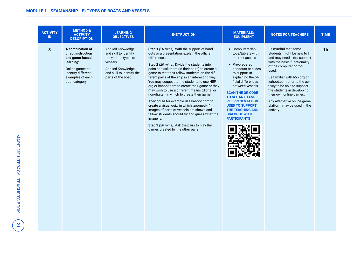<span id="page-20-0"></span>

| <b>ACTIVITY</b><br>ID | <b>METHOD &amp;</b><br><b>ACTIVITY</b><br><b>DESCRIPTION</b>                                                                                         | <b>LEARNING</b><br><b>OBJECTIVES</b>                                                                                                                          | <b>INSTRUCTION</b>                                                                                                                                                                                                                                                                                                                                                                                                                                                                                                                                                                                                                                                                                                                                                                                        | <b>MATERIALS/</b><br><b>EQUIPMENT</b>                                                                                                                                                                                                                                                                                                                               | <b>NOTES FOR TEACHERS</b>                                                                                                                                                                                                                                                                                                                                                               | <b>TIME</b>    |
|-----------------------|------------------------------------------------------------------------------------------------------------------------------------------------------|---------------------------------------------------------------------------------------------------------------------------------------------------------------|-----------------------------------------------------------------------------------------------------------------------------------------------------------------------------------------------------------------------------------------------------------------------------------------------------------------------------------------------------------------------------------------------------------------------------------------------------------------------------------------------------------------------------------------------------------------------------------------------------------------------------------------------------------------------------------------------------------------------------------------------------------------------------------------------------------|---------------------------------------------------------------------------------------------------------------------------------------------------------------------------------------------------------------------------------------------------------------------------------------------------------------------------------------------------------------------|-----------------------------------------------------------------------------------------------------------------------------------------------------------------------------------------------------------------------------------------------------------------------------------------------------------------------------------------------------------------------------------------|----------------|
| 8                     | A combination of<br>direct instruction<br>and game-based<br>learning:<br>Online games to<br>identify different<br>examples of each<br>boat category. | <b>Applied Knowledge</b><br>and skill to identify<br>the various types of<br>vessels.<br>Applied Knowledge<br>and skill to identify the<br>parts of the boat. | Step 1 (20 mins): With the support of hand-<br>outs or a presentation, explain the official<br>differences<br>Step 2 (20 mins): Divide the students into<br>pairs and ask them (in their pairs) to create a<br>game to test their fellow students on the dif-<br>ferent parts of the ship in an interesting way.<br>You may suggest to the students to use H5P.<br>org or kahoot.com to create their game or they<br>may wish to use a different means (digital or<br>non-digital) in which to create their game.<br>They could for example use kahoot.com to<br>create a visual quiz, in which 'zoomed-in'<br>images of parts of vessels are shown and<br>fellow students should try and guess what the<br>image is.<br>Step 3 (20 mins): Ask the pairs to play the<br>games created by the other pairs. | Computers/lap-<br>tops/tablets with<br>internet access<br>▶ Pre-prepared<br>handouts or slides<br>to support in<br>explaining the of-<br>ficial differences<br>between vessels.<br><b>SCAN THE QR CODE</b><br><b>TO SEE AN EXAM-</b><br><b>PLE PRESENTATION</b><br><b>USED TO SUPPORT</b><br><b>THE TEACHING AND</b><br><b>DIALOGUE WITH</b><br><b>PARTICIPANTS</b> | Be mindful that some<br>students might be new to IT<br>and may need extra support<br>with the basic functionality<br>of the computer or tool<br>used.<br>Be familiar with h5p.org or<br>kahoot.com prior to the ac-<br>tivity to be able to support<br>the students in developing<br>their own online games.<br>Any alternative online-game<br>platform may be used in the<br>activity. | 1 <sub>h</sub> |

 $\overline{a}$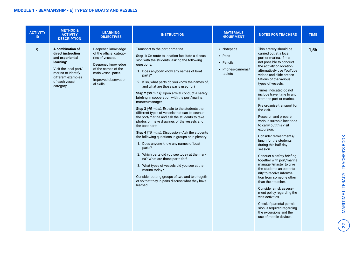| <b>ACTIVITY</b><br>ID | <b>METHOD &amp;</b><br><b>ACTIVITY</b><br><b>DESCRIPTION</b>                                                                                                                | <b>LEARNING</b><br><b>OBJECTIVES</b>                                                                                                                                        | <b>INSTRUCTION</b>                                                                                                                                                                                                                                                                                                                                                                                                                                                                                                                                                                                                                                                                                                                                                                                                                                                                                                                                                                                                                                                            | <b>MATERIALS</b><br>/EQUIPMENT                                                                                 | <b>NOTES FOR TEACHERS</b>                                                                                                                                                                                                                                                                                                                                                                                                                                                                                                                                                                                                                                                                                                                                                                                                                                                                                                                                      | <b>TIME</b> |
|-----------------------|-----------------------------------------------------------------------------------------------------------------------------------------------------------------------------|-----------------------------------------------------------------------------------------------------------------------------------------------------------------------------|-------------------------------------------------------------------------------------------------------------------------------------------------------------------------------------------------------------------------------------------------------------------------------------------------------------------------------------------------------------------------------------------------------------------------------------------------------------------------------------------------------------------------------------------------------------------------------------------------------------------------------------------------------------------------------------------------------------------------------------------------------------------------------------------------------------------------------------------------------------------------------------------------------------------------------------------------------------------------------------------------------------------------------------------------------------------------------|----------------------------------------------------------------------------------------------------------------|----------------------------------------------------------------------------------------------------------------------------------------------------------------------------------------------------------------------------------------------------------------------------------------------------------------------------------------------------------------------------------------------------------------------------------------------------------------------------------------------------------------------------------------------------------------------------------------------------------------------------------------------------------------------------------------------------------------------------------------------------------------------------------------------------------------------------------------------------------------------------------------------------------------------------------------------------------------|-------------|
| 9                     | A combination of<br>direct instruction<br>and experiential<br>learning:<br>Visit the local port/<br>marina to identify<br>different examples<br>of each vessel<br>category. | Deepened knowledge<br>of the official catego-<br>ries of vessels.<br>Deepened knowledge<br>of the names of the<br>main vessel parts.<br>Improved observation-<br>al skills. | Transport to the port or marina.<br><b>Step 1:</b> On route to location facilitate a discus-<br>sion with the students, asking the following<br>questions:<br>1. Does anybody know any names of boat<br>parts?<br>2. If so, what parts do you know the names of,<br>and what are those parts used for?<br>Step 2 (30 mins): Upon arrival conduct a safety<br>briefing in cooperation with the port/marina<br>master/manager.<br>Step 3 (45 mins): Explain to the students the<br>different types of vessels that can be seen at<br>the port/marina and ask the students to take<br>photos or make drawings of the vessels and<br>the boat parts.<br>Step 4 (15 mins): Discussion - Ask the students<br>the following questions in groups or in plenary:<br>1. Does anyone know any names of boat<br>parts?<br>2. Which parts did you see today at the mari-<br>na? What are those parts for?<br>3. What types of vessels did you see at the<br>marina today?<br>Consider putting groups of two and two togeth-<br>er so that they in pairs discuss what they have<br>learned. | $\triangleright$ Notepads<br>$\triangleright$ Pens<br>$\triangleright$ Pencils<br>▶ Phones/cameras/<br>tablets | This activity should be<br>carried out at a local<br>port or marina. If it is<br>not possible to conduct<br>the activity on location,<br>alternatively use YouTube<br>videos and slide presen-<br>tations of the various<br>types of vessels.<br>Times indicated do not<br>include travel time to and<br>from the port or marina.<br>Pre organise transport for<br>the visit.<br>Research and prepare<br>various suitable locations<br>to carry out this visit<br>excursion.<br>Consider refreshments/<br>lunch for the students<br>during this half day<br>session.<br>Conduct a safety briefing<br>together with port/marina<br>manager/master to give<br>the students an opportu-<br>nity to receive informa-<br>tion from someone other<br>than their teacher.<br>Consider a risk assess-<br>ment policy regarding the<br>visit activities.<br>Check if parental permis-<br>sion is required regarding<br>the excursions and the<br>use of mobile devices. | 1,5h        |

 $22$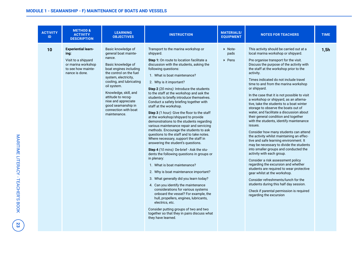<span id="page-22-0"></span>

| <b>ACTIVITY</b><br>ID | <b>METHOD &amp;</b><br><b>ACTIVITY</b><br><b>DESCRIPTION</b>                                                            | <b>LEARNING</b><br><b>OBJECTIVES</b>                                                                                                                                                                                                                                                                                                   | <b>INSTRUCTION</b>                                                                                                                                                                                                                                                                                                                                                                                                                                                                                                                                                                                                                                                                                                                                                                                                                                                                                                                                                                                                                                                                                                                                                                                                                                                                                                        | <b>MATERIALS/</b><br><b>EQUIPMENT</b>  | <b>NOTES FOR TEACHERS</b>                                                                                                                                                                                                                                                                                                                                                                                                                                                                                                                                                                                                                                                                                                                                                                                                                                                                                                                                                                                                                                                                                                                                                                                           | <b>TIME</b> |
|-----------------------|-------------------------------------------------------------------------------------------------------------------------|----------------------------------------------------------------------------------------------------------------------------------------------------------------------------------------------------------------------------------------------------------------------------------------------------------------------------------------|---------------------------------------------------------------------------------------------------------------------------------------------------------------------------------------------------------------------------------------------------------------------------------------------------------------------------------------------------------------------------------------------------------------------------------------------------------------------------------------------------------------------------------------------------------------------------------------------------------------------------------------------------------------------------------------------------------------------------------------------------------------------------------------------------------------------------------------------------------------------------------------------------------------------------------------------------------------------------------------------------------------------------------------------------------------------------------------------------------------------------------------------------------------------------------------------------------------------------------------------------------------------------------------------------------------------------|----------------------------------------|---------------------------------------------------------------------------------------------------------------------------------------------------------------------------------------------------------------------------------------------------------------------------------------------------------------------------------------------------------------------------------------------------------------------------------------------------------------------------------------------------------------------------------------------------------------------------------------------------------------------------------------------------------------------------------------------------------------------------------------------------------------------------------------------------------------------------------------------------------------------------------------------------------------------------------------------------------------------------------------------------------------------------------------------------------------------------------------------------------------------------------------------------------------------------------------------------------------------|-------------|
| 10                    | <b>Experiential learn-</b><br>ing:<br>Visit to a shipyard<br>or marina workshop<br>to see how mainte-<br>nance is done. | Basic knowledge of<br>general boat mainte-<br>nance.<br>Basic knowledge of<br>boat engines including<br>the control on the fuel<br>system, electricity,<br>cooling, and lubricating<br>oil system.<br>Knowledge, skill, and<br>attitude to recog-<br>nise and appreciate<br>good seamanship in<br>connection with boat<br>maintenance. | Transport to the marina workshop or<br>shipyard.<br>Step 1: On route to location facilitate a<br>discussion with the students, asking the<br>following questions:<br>1. What is boat maintenance?<br>2. Why is it important?<br>Step 2 (20 mins): Introduce the students<br>to the staff at the workshop and ask the<br>students to briefly introduce themselves.<br>Conduct a safety briefing together with<br>staff at the workshop.<br>Step 3 (1 hour): Give the floor to the staff<br>at the workshop/shipyard to provide<br>demonstrations to the students regarding<br>various maintenance repair and servicing<br>methods. Encourage the students to ask<br>questions to the staff and to take notes.<br>Where necessary, support the staff in<br>answering the student's questions.<br>Step 4 (10 mins): De-brief - Ask the stu-<br>dents the following questions in groups or<br>in plenary:<br>1. What is boat maintenance?<br>2. Why is boat maintenance important?<br>3. What generally did you learn today?<br>4. Can you identify the maintenance<br>considerations for various systems<br>onboard the vessel? For example, the<br>hull, propellers, engines, lubricants,<br>electrics, etc.<br>Consider putting groups of two and two<br>together so that they in pairs discuss what<br>they have learned. | Note-<br>pads<br>$\triangleright$ Pens | This activity should be carried out at a<br>local marina workshop or shipyard.<br>Pre organise transport for the visit.<br>Discuss the purpose of the activity with<br>the staff at the workshop prior to the<br>activity.<br>Times indicated do not include travel<br>time to and from the marina workshop<br>or shipyard.<br>In the case that it is not possible to visit<br>a workshop or shipyard, as an alterna-<br>tive, take the students to a boat winter<br>storage to observe the boats out of<br>water, and facilitate a discussion about<br>their general condition and together<br>with the students, identify maintenance<br>issues.<br>Consider how many students can attend<br>the activity whilst maintaining an effec-<br>tive and safe learning environment. It<br>may be necessary to divide the students<br>into smaller groups and conducted the<br>activity with each group.<br>Consider a risk assessment policy<br>regarding the excursion and whether<br>students are required to wear protective<br>gear whilst at the workshop.<br>Consider refreshments/lunch for the<br>students during this half day session.<br>Check if parental permission is required<br>regarding the excursion | 1,5h        |

 $\begin{bmatrix} 23 \ 33 \end{bmatrix}$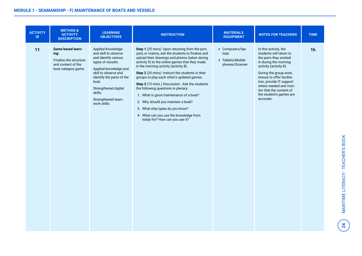| <b>ACTIVITY</b><br>ID | <b>METHOD &amp;</b><br><b>ACTIVITY</b><br><b>DESCRIPTION</b>                                            | <b>LEARNING</b><br><b>OBJECTIVES</b>                                                                                                                                                                                                                   | <b>INSTRUCTION</b>                                                                                                                                                                                                                                                                                                                                                                                                                                                                                                                                                                                                                           | <b>MATERIALS</b><br>/EQUIPMENT                               | <b>NOTES FOR TEACHERS</b>                                                                                                                                                                                                                                                                                    | <b>TIME</b>    |
|-----------------------|---------------------------------------------------------------------------------------------------------|--------------------------------------------------------------------------------------------------------------------------------------------------------------------------------------------------------------------------------------------------------|----------------------------------------------------------------------------------------------------------------------------------------------------------------------------------------------------------------------------------------------------------------------------------------------------------------------------------------------------------------------------------------------------------------------------------------------------------------------------------------------------------------------------------------------------------------------------------------------------------------------------------------------|--------------------------------------------------------------|--------------------------------------------------------------------------------------------------------------------------------------------------------------------------------------------------------------------------------------------------------------------------------------------------------------|----------------|
| 11                    | <b>Game based learn-</b><br>ing:<br>Finalise the structure<br>and content of the<br>boat category game. | Applied Knowledge<br>and skill to observe<br>and identify various<br>types of vessels.<br>Applied knowledge and<br>skill to observe and<br>identify the parts of the<br>boat.<br>Strengthened digital<br>skills.<br>Strengthened team-<br>work skills. | Step 1 (25 mins): Upon returning from the port,<br>yard, or marina, ask the students to finalise and<br>upload their drawings and photos (taken during<br>activity 9) to the online games that they made<br>in the morning activity (activity 8).<br>Step 2 (20 mins): Instruct the students in their<br>groups to play each other's updated games.<br>Step 3 (15 mins.) Discussion - Ask the students<br>the following questions in plenary:<br>1. What is good maintenance of a boat?<br>2. Why should you maintain a boat?<br>3. What ship types do you know?<br>4. What can you use the knowledge from<br>today for? How can you use it? | ▶ Computers/lap-<br>tops<br>Tablets/Mobile<br>phones/Scanner | In this activity, the<br>students will return to<br>the pairs they worked<br>in during the morning<br>activity (activity 8).<br>During the group work,<br>ensure to offer facilita-<br>tion, provide IT support<br>where needed and mon-<br>itor that the content of<br>the student's games are<br>accurate. | 1 <sub>h</sub> |

 $24$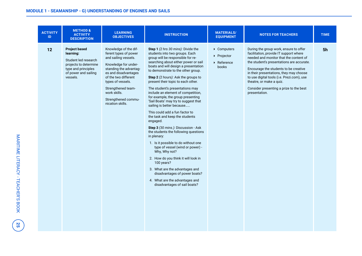<span id="page-24-0"></span>

| <b>ACTIVITY</b><br>ID | <b>METHOD &amp;</b><br><b>ACTIVITY</b><br><b>DESCRIPTION</b>                                                                                  | <b>LEARNING</b><br><b>OBJECTIVES</b>                                                                                                                                                                                                                                           | <b>INSTRUCTION</b>                                                                                                                                                                                                                                                                                                                                                                                                                                                                                                                                                                                                                                                                                                                                                                                                                                                                                                                                                  | <b>MATERIALS/</b><br><b>EQUIPMENT</b>                                            | <b>NOTES FOR TEACHERS</b>                                                                                                                                                                                                                                                                                                                                                                         | <b>TIME</b>    |
|-----------------------|-----------------------------------------------------------------------------------------------------------------------------------------------|--------------------------------------------------------------------------------------------------------------------------------------------------------------------------------------------------------------------------------------------------------------------------------|---------------------------------------------------------------------------------------------------------------------------------------------------------------------------------------------------------------------------------------------------------------------------------------------------------------------------------------------------------------------------------------------------------------------------------------------------------------------------------------------------------------------------------------------------------------------------------------------------------------------------------------------------------------------------------------------------------------------------------------------------------------------------------------------------------------------------------------------------------------------------------------------------------------------------------------------------------------------|----------------------------------------------------------------------------------|---------------------------------------------------------------------------------------------------------------------------------------------------------------------------------------------------------------------------------------------------------------------------------------------------------------------------------------------------------------------------------------------------|----------------|
| $12$                  | <b>Project based</b><br>learning:<br>Student led research<br>projects to determine<br>type and principles<br>of power and sailing<br>vessels. | Knowledge of the dif-<br>ferent types of power<br>and sailing vessels.<br>Knowledge for under-<br>standing the advantag-<br>es and disadvantages<br>of the two different<br>types of vessels.<br>Strengthened team-<br>work skills.<br>Strengthened commu-<br>nication skills. | Step 1 (2 hrs 30 mins): Divide the<br>students into two groups. Each<br>group will be responsible for re-<br>searching about either power or sail<br>boats and will design a presentation<br>to demonstrate to the other group.<br>Step 2 (2 hours): Ask the groups to<br>present their topic to each other.<br>The student's presentations may<br>include an element of competition,<br>for example, the group presenting<br>'Sail Boats' may try to suggest that<br>sailing is better because<br>This could add a fun factor to<br>the task and keep the students<br>engaged.<br>Step 3 (30 mins.): Discussion - Ask<br>the students the following questions<br>in plenary:<br>1. Is it possible to do without one<br>type of vessel (wind or power) -<br>Why, Why not?<br>2. How do you think it will look in<br>100 years?<br>3. What are the advantages and<br>disadvantages of power boats?<br>4. What are the advantages and<br>disadvantages of sail boats? | $\triangleright$ Computers<br>▶ Projector<br>$\triangleright$ Reference<br>books | During the group work, ensure to offer<br>facilitation, provide IT support where<br>needed and monitor that the content of<br>the student's presentations are accurate.<br>Encourage the students to be creative<br>in their presentations, they may choose<br>to use digital tools (i.e. Prezi.com), use<br>theatre, or make a quiz.<br>Consider presenting a prize to the best<br>presentation. | 5 <sub>h</sub> |

 $\begin{bmatrix} 25 \end{bmatrix}$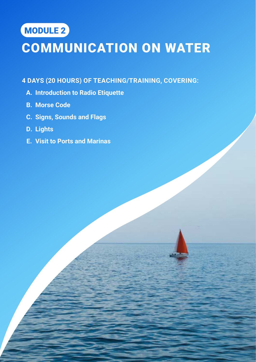## MODULE 2 COMMUNICATION ON WATER

### **4 DAYS (20 HOURS) OF TEACHING/TRAINING, COVERING:**

- **A. Introduction to Radio Etiquette**
- **B. Morse Code**
- **C. Signs, Sounds and Flags**
- **D. Lights**
- **E. Visit to Ports and Marinas**

**26** MARITIME LITERACY - TEACHER'S BOOK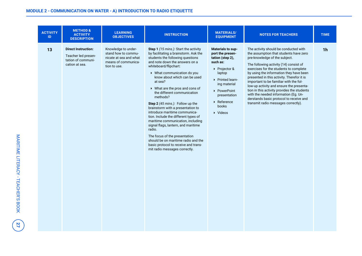<span id="page-26-0"></span>

| <b>ACTIVITY</b><br>ID | <b>METHOD &amp;</b><br><b>ACTIVITY</b><br><b>DESCRIPTION</b>                              | <b>LEARNING</b><br><b>OBJECTIVES</b>                                                                        | <b>INSTRUCTION</b>                                                                                                                                                                                                                                                                                                                                                                                                                                                                                                                                                                                                                                                                                                                            | <b>MATERIALS/</b><br><b>EQUIPMENT</b>                                                                                                                                                                                                  | <b>NOTES FOR TEACHERS</b>                                                                                                                                                                                                                                                                                                                                                                                                                                                                                                                                    | <b>TIME</b>    |
|-----------------------|-------------------------------------------------------------------------------------------|-------------------------------------------------------------------------------------------------------------|-----------------------------------------------------------------------------------------------------------------------------------------------------------------------------------------------------------------------------------------------------------------------------------------------------------------------------------------------------------------------------------------------------------------------------------------------------------------------------------------------------------------------------------------------------------------------------------------------------------------------------------------------------------------------------------------------------------------------------------------------|----------------------------------------------------------------------------------------------------------------------------------------------------------------------------------------------------------------------------------------|--------------------------------------------------------------------------------------------------------------------------------------------------------------------------------------------------------------------------------------------------------------------------------------------------------------------------------------------------------------------------------------------------------------------------------------------------------------------------------------------------------------------------------------------------------------|----------------|
| 13                    | <b>Direct Instruction:</b><br>Teacher led presen-<br>tation of communi-<br>cation at sea. | Knowledge to under-<br>stand how to commu-<br>nicate at sea and what<br>means of communica-<br>tion to use. | Step 1 (15 mins.): Start the activity<br>by facilitating a brainstorm. Ask the<br>students the following questions<br>and note down the answers on a<br>whiteboard/flipchart:<br>▶ What communication do you<br>know about which can be used<br>at sea?<br>$\triangleright$ What are the pros and cons of<br>the different communication<br>methods?<br>Step 2 (45 mins.): Follow up the<br>brainstorm with a presentation to<br>introduce maritime communica-<br>tion. Include the different types of<br>maritime communication, including<br>signal flags, lantern, and maritime<br>radio.<br>The focus of the presentation<br>should be on maritime radio and the<br>basic protocol to receive and trans-<br>mit radio messages correctly. | Materials to sup-<br>port the presen-<br>tation (step 2),<br>such as:<br>▶ Projector &<br>laptop<br>▶ Printed learn-<br>ing material<br>▶ PowerPoint<br>presentation<br>$\triangleright$ Reference<br>books<br>$\triangleright$ Videos | The activity should be conducted with<br>the assumption that students have zero<br>pre-knowledge of the subject.<br>The following activity (14) consist of<br>exercises for the students to complete<br>by using the information they have been<br>presented in this activity. Therefor it is<br>important to be familiar with the fol-<br>low-up activity and ensure the presenta-<br>tion in this activity provides the students<br>with the needed information (Eg. Un-<br>derstands basic protocol to receive and<br>transmit radio messages correctly). | 1 <sub>h</sub> |

 $\binom{2}{7}$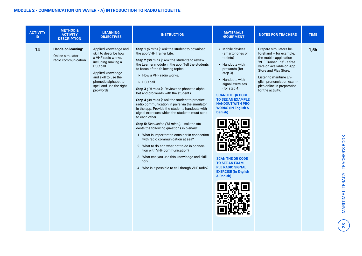| <b>ACTIVITY</b><br>ID | <b>METHOD &amp;</b><br><b>ACTIVITY</b><br><b>DESCRIPTION</b>    | <b>LEARNING</b><br><b>OBJECTIVES</b>                                                                                                                                                                                  | <b>INSTRUCTION</b>                                                                                                                                                                                                                                                                                                                                                                                                                                                                                                                                                                                                                                                                                                                                                                                                                                                                                                                                          | <b>MATERIALS</b><br>/EQUIPMENT                                                                                                                                                                                                                                                                                                                                                                                                                 | <b>NOTES FOR TEACHERS</b>                                                                                                                                                                                                                                                 | <b>TIME</b> |
|-----------------------|-----------------------------------------------------------------|-----------------------------------------------------------------------------------------------------------------------------------------------------------------------------------------------------------------------|-------------------------------------------------------------------------------------------------------------------------------------------------------------------------------------------------------------------------------------------------------------------------------------------------------------------------------------------------------------------------------------------------------------------------------------------------------------------------------------------------------------------------------------------------------------------------------------------------------------------------------------------------------------------------------------------------------------------------------------------------------------------------------------------------------------------------------------------------------------------------------------------------------------------------------------------------------------|------------------------------------------------------------------------------------------------------------------------------------------------------------------------------------------------------------------------------------------------------------------------------------------------------------------------------------------------------------------------------------------------------------------------------------------------|---------------------------------------------------------------------------------------------------------------------------------------------------------------------------------------------------------------------------------------------------------------------------|-------------|
| 14                    | Hands-on learning:<br>Online simulator -<br>radio communication | Applied knowledge and<br>skill to describe how<br>a VHF radio works,<br>including making a<br>DSC call.<br>Applied knowledge<br>and skill to use the<br>phonetic alphabet to<br>spell and use the right<br>pro-words. | Step 1 (5 mins.): Ask the student to download<br>the app VHF Trainer Lite.<br>Step 2 (30 mins.): Ask the students to review<br>the Learner module in the app. Tell the students<br>to focus of the following topics:<br>▶ How a VHF radio works.<br>DSC call<br>Step 3 (10 mins.): Review the phonetic alpha-<br>bet and pro-words with the students<br>Step 4 (30 mins.): Ask the student to practice<br>radio communication in pairs via the simulator<br>in the app. Provide the students handouts with<br>signal exercises which the students must send<br>to each other.<br>Step 5: Discussion (15 mins.): - Ask the stu-<br>dents the following questions in plenary:<br>1. What is important to consider in connection<br>with radio communication at sea?<br>2. What to do and what not to do in connec-<br>tion with VHF communication?<br>3. What can you use this knowledge and skill<br>for?<br>4. Who is it possible to call though VHF radio? | • Mobile devices<br>(smartphones or<br>tablets)<br>$\triangleright$ Handouts with<br>prowords (for<br>step 3)<br>$\triangleright$ Handouts with<br>signal exercises<br>(for step 4)<br><b>SCAN THE QR CODE</b><br><b>TO SEE AN EXAMPLE</b><br><b>HANDOUT WITH PRO</b><br><b>WORDS (IN English &amp;</b><br>Danish)<br><b>SCAN THE QR CODE</b><br><b>TO SEE AN EXAM-</b><br><b>PLE RADIO SIGNAL</b><br><b>EXERCISE (In English</b><br>& Danish) | Prepare simulators be-<br>forehand - for example,<br>the mobile application<br>'VHF Trainer Lite' - a free<br>version available on App<br>Store and Play Store.<br>Listen to maritime En-<br>glish pronunciation exam-<br>ples online in preparation<br>for the activity. | 1,5h        |

28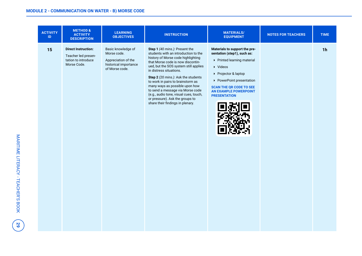<span id="page-28-0"></span>

| <b>ACTIVITY</b><br>ID | <b>METHOD &amp;</b><br><b>ACTIVITY</b><br><b>DESCRIPTION</b>                            | <b>LEARNING</b><br><b>OBJECTIVES</b>                                                                | <b>INSTRUCTION</b>                                                                                                                                                                                                                                                                                                                                                                                                                                                                       | <b>MATERIALS/</b><br><b>EQUIPMENT</b>                                                                                                                                                                                                                                | <b>NOTES FOR TEACHERS</b> | <b>TIME</b>    |
|-----------------------|-----------------------------------------------------------------------------------------|-----------------------------------------------------------------------------------------------------|------------------------------------------------------------------------------------------------------------------------------------------------------------------------------------------------------------------------------------------------------------------------------------------------------------------------------------------------------------------------------------------------------------------------------------------------------------------------------------------|----------------------------------------------------------------------------------------------------------------------------------------------------------------------------------------------------------------------------------------------------------------------|---------------------------|----------------|
| 15                    | <b>Direct Instruction:</b><br>Teacher led presen-<br>tation to introduce<br>Morse Code. | Basic knowledge of<br>Morse code.<br>Appreciation of the<br>historical importance<br>of Morse code. | Step 1 (40 mins.): Present the<br>students with an introduction to the<br>history of Morse code highlighting<br>that Morse code is now discontin-<br>ued, but the SOS system still applies<br>in distress situations.<br>Step 2 (20 mins.): Ask the students<br>to work in pairs to brainstorm as<br>many ways as possible upon how<br>to send a message via Morse code<br>(e.g., audio tone, visual cues, touch,<br>or pressure). Ask the groups to<br>share their findings in plenary. | Materials to support the pre-<br>sentation (step1), such as:<br>▶ Printed learning material<br>$\triangleright$ Videos<br>▶ Projector & laptop<br>▶ PowerPoint presentation<br><b>SCAN THE QR CODE TO SEE</b><br><b>AN EXAMPLE POWERPOINT</b><br><b>PRESENTATION</b> |                           | 1 <sub>h</sub> |

 $\begin{bmatrix} 29 \end{bmatrix}$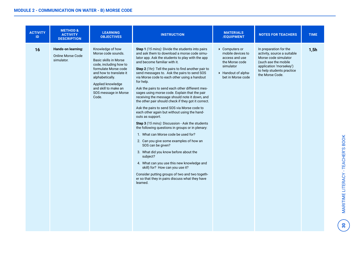| <b>ACTIVITY</b><br>ID | <b>METHOD &amp;</b><br><b>ACTIVITY</b><br><b>DESCRIPTION</b> | <b>LEARNING</b><br><b>OBJECTIVES</b>                                                                                                                                                                                                          | <b>INSTRUCTION</b>                                                                                                                                                                                                                                                                                                                                                                                                                                                                                                                                                                                                                                                                                                                                                                                                                                                                                                                                                                                                                                                                                                                                           | <b>MATERIALS</b><br>/EQUIPMENT                                                                                                 | <b>NOTES FOR TEACHERS</b>                                                                                                                                                        | <b>TIME</b> |
|-----------------------|--------------------------------------------------------------|-----------------------------------------------------------------------------------------------------------------------------------------------------------------------------------------------------------------------------------------------|--------------------------------------------------------------------------------------------------------------------------------------------------------------------------------------------------------------------------------------------------------------------------------------------------------------------------------------------------------------------------------------------------------------------------------------------------------------------------------------------------------------------------------------------------------------------------------------------------------------------------------------------------------------------------------------------------------------------------------------------------------------------------------------------------------------------------------------------------------------------------------------------------------------------------------------------------------------------------------------------------------------------------------------------------------------------------------------------------------------------------------------------------------------|--------------------------------------------------------------------------------------------------------------------------------|----------------------------------------------------------------------------------------------------------------------------------------------------------------------------------|-------------|
| 16                    | Hands-on learning:<br><b>Online Morse Code</b><br>simulator. | Knowledge of how<br>Morse code sounds.<br>Basic skills in Morse<br>code, including how to<br>formulate Morse code<br>and how to translate it<br>alphabetically.<br>Applied knowledge<br>and skill to make an<br>SOS message in Morse<br>Code. | Step 1 (15 mins): Divide the students into pairs<br>and ask them to download a morse code simu-<br>lator app. Ask the students to play with the app<br>and become familiar with it.<br>Step 2 (1hr): Tell the pairs to find another pair to<br>send messages to. Ask the pairs to send SOS<br>via Morse code to each other using a handout<br>for help.<br>Ask the pairs to send each other different mes-<br>sages using morse code. Explain that the pair<br>receiving the message should note it down, and<br>the other pair should check if they got it correct.<br>Ask the pairs to send SOS via Morse code to<br>each other again but without using the hand-<br>outs as support.<br>Step 3 (15 mins): Discussion - Ask the students<br>the following questions in groups or in plenary:<br>1. What can Morse code be used for?<br>2. Can you give some examples of how an<br>SOS can be given?<br>3. What did you know before about the<br>subject?<br>4. What can you use this new knowledge and<br>skill) for? How can you use it?<br>Consider putting groups of two and two togeth-<br>er so that they in pairs discuss what they have<br>learned. | ▶ Computers or<br>mobile devices to<br>access and use<br>the Morse code<br>simulator<br>Handout of alpha-<br>bet in Morse code | In preparation for the<br>activity, source a suitable<br>Morse code simulator<br>(such ase the mobile<br>application 'morsekey')<br>to help students practice<br>the Morse Code. | 1,5h        |

 $\left($  8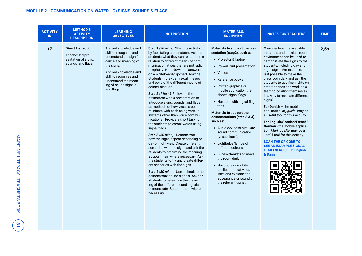<span id="page-30-0"></span>

| <b>ACTIVITY</b><br>ID | <b>METHOD &amp;</b><br><b>ACTIVITY</b><br><b>DESCRIPTION</b>                                | <b>LEARNING</b><br><b>OBJECTIVES</b>                                                                                                                                                                                              | <b>INSTRUCTION</b>                                                                                                                                                                                                                                                                                                                                                                                                                                                                                                                                                                                                                                                                                                                                                                                                                                                                                                                                                                                                                                                                                                                                                                                                         | <b>MATERIALS/</b><br><b>EQUIPMENT</b>                                                                                                                                                                                                                                                                                                                                                                                                                                                                                                                                                                                                                                  | <b>NOTES FOR TEACHERS</b>                                                                                                                                                                                                                                                                                                                                                                                                                                                                                                                                                                                                                                                                                                                      | <b>TIME</b> |
|-----------------------|---------------------------------------------------------------------------------------------|-----------------------------------------------------------------------------------------------------------------------------------------------------------------------------------------------------------------------------------|----------------------------------------------------------------------------------------------------------------------------------------------------------------------------------------------------------------------------------------------------------------------------------------------------------------------------------------------------------------------------------------------------------------------------------------------------------------------------------------------------------------------------------------------------------------------------------------------------------------------------------------------------------------------------------------------------------------------------------------------------------------------------------------------------------------------------------------------------------------------------------------------------------------------------------------------------------------------------------------------------------------------------------------------------------------------------------------------------------------------------------------------------------------------------------------------------------------------------|------------------------------------------------------------------------------------------------------------------------------------------------------------------------------------------------------------------------------------------------------------------------------------------------------------------------------------------------------------------------------------------------------------------------------------------------------------------------------------------------------------------------------------------------------------------------------------------------------------------------------------------------------------------------|------------------------------------------------------------------------------------------------------------------------------------------------------------------------------------------------------------------------------------------------------------------------------------------------------------------------------------------------------------------------------------------------------------------------------------------------------------------------------------------------------------------------------------------------------------------------------------------------------------------------------------------------------------------------------------------------------------------------------------------------|-------------|
| 17                    | <b>Direct Instruction:</b><br>Teacher led pre-<br>sentation of signs,<br>sounds, and flags. | Applied knowledge and<br>skill to recognise and<br>understand the signifi-<br>cance and meaning of<br>the signs.<br>Applied knowledge and<br>skill to recognise and<br>understand the mean-<br>ing of sound signals<br>and flags. | <b>Step 1</b> (30 mins): Start the activity<br>by facilitating a brainstorm. Ask the<br>students what they can remember in<br>relation to different means of com-<br>munication at sea that are not radio<br>telephony. Note down the answers<br>on a whiteboard/flipchart. Ask the<br>students if they can re-call the pro<br>and cons of the different means of<br>communication.<br>Step 2 (1 hour): Follow up the<br>brainstorm with a presentation to<br>introduce signs, sounds, and flags<br>as methods of how vessels com-<br>municate with each using various<br>systems other than voice commu-<br>nications. Provide a short task for<br>the students to create words using<br>signal flags.<br>Step 3 (30 mins): Demonstrate<br>how the signs appear depending on<br>day or night view. Create different<br>scenarios with the signs and ask the<br>students to determine the meaning.<br>Support them where necessary. Ask<br>the students to try and create differ-<br>ent scenarios with the signs.<br>Step 4 (30 mins): Use a simulator to<br>demonstrate sound signals. Ask the<br>students to determine the mean-<br>ing of the different sound signals<br>demonstrate. Support them where<br>necessary. | Materials to support the pre-<br>sentation (step2), such as:<br>▶ Projector & laptop<br>▶ PowerPoint presentation<br>$\triangleright$ Videos<br>▶ Reference books<br>▶ Printed graphics or<br>mobile application that<br>shows signal flags<br>Handout with signal flag<br>task<br>Materials to support the<br>demonstrations (step 3 & 4),<br>such as:<br>Audio device to simulate<br>sound communication<br>(vessel horn).<br>$\triangleright$ Lightbulbs/lamps of<br>different colours<br>▶ Blinds/blankets to make<br>the room dark<br>▶ Handouts or mobile<br>application that visua-<br>lises and explains the<br>appearance or sound of<br>the relevant signal. | Consider how the available<br>materials and the classroom<br>environment can be used to<br>demonstrate the signs to the<br>students, including day and<br>night signs. For example,<br>is it possible to make the<br>classroom dark and ask the<br>students to use flashlights on<br>smart phones and work as a<br>team to position themselves<br>in a way to replicate different<br>signs?<br>For Danish $-$ the mobile<br>application 'sejlquide' may be<br>a useful tool for this activity.<br>For English/Spanish/French/<br>German - the mobile applica-<br>tion 'Marinus Lite' may be a<br>useful tool for this activity.<br><b>SCAN THE QR CODE TO</b><br><b>SEE AN EXAMPLE SIGNAL</b><br><b>FLAG EXERCISE (In English</b><br>& Danish) | 2,5h        |

 $\overline{\tilde{\sigma}}$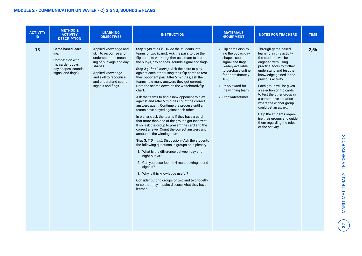| <b>ACTIVITY</b><br>ID | <b>METHOD &amp;</b><br><b>LEARNING</b><br><b>ACTIVITY</b><br><b>OBJECTIVES</b><br><b>DESCRIPTION</b>                                                                                                                                                                                                                 | <b>INSTRUCTION</b>                                                                                                                                                                                                                                                                                                                                                                                                                                                                                                                                                                                                                                                                                                                                                                                                                                                                                                                                                                                                                                                                                                                                                                                                                                                                    | <b>MATERIALS</b><br>/EQUIPMENT                                                                                                                                                                                                                 | <b>NOTES FOR TEACHERS</b>                                                                                                                                                                                                                                                                                                                                                                                                                                                             | <b>TIME</b> |
|-----------------------|----------------------------------------------------------------------------------------------------------------------------------------------------------------------------------------------------------------------------------------------------------------------------------------------------------------------|---------------------------------------------------------------------------------------------------------------------------------------------------------------------------------------------------------------------------------------------------------------------------------------------------------------------------------------------------------------------------------------------------------------------------------------------------------------------------------------------------------------------------------------------------------------------------------------------------------------------------------------------------------------------------------------------------------------------------------------------------------------------------------------------------------------------------------------------------------------------------------------------------------------------------------------------------------------------------------------------------------------------------------------------------------------------------------------------------------------------------------------------------------------------------------------------------------------------------------------------------------------------------------------|------------------------------------------------------------------------------------------------------------------------------------------------------------------------------------------------------------------------------------------------|---------------------------------------------------------------------------------------------------------------------------------------------------------------------------------------------------------------------------------------------------------------------------------------------------------------------------------------------------------------------------------------------------------------------------------------------------------------------------------------|-------------|
| 18<br>ing:            | Game based learn-<br>Applied knowledge and<br>skill to recognise and<br>understand the mean-<br>Competition with<br>ing of buoyage and day<br>flip cards (buoys,<br>shapes.<br>day shapes, sounds<br>signal and flags).<br>Applied knowledge<br>and skill to recognise<br>and understand sound<br>signals and flags. | Step 1 (40 mins.): Divide the students into<br>teams of two (pairs). Ask the pairs to use the<br>flip cards to work together as a team to learn<br>the buoys, day shapes, sounds signal and flags.<br>Step 2 (1 hr 40 mins.): Ask the pairs to play<br>against each other using their flip cards to test<br>their opponent pair. After 5 minutes, ask the<br>teams how many answers they got correct.<br>Note the scores down on the whiteboard/flip-<br>chart.<br>Ask the teams to find a new opponent to play<br>against and after 5 minutes count the correct<br>answers again. Continue the process until all<br>teams have played against each other.<br>In plenary, ask the teams if they have a card<br>that more than one of the groups got incorrect.<br>If so, ask the group to present the card and the<br>correct answer Count the correct answers and<br>announce the winning team.<br>Step 3: (10 mins): Discussion - Ask the students<br>the following questions in groups or in plenary:<br>1. What is the difference between day and<br>night buoys?<br>2. Can you describe the 4 manoeuvring sound<br>signals?<br>3. Why is this knowledge useful?<br>Consider putting groups of two and two togeth-<br>er so that they in pairs discuss what they have<br>learned. | $\triangleright$ Flip cards display-<br>ing the buoys, day<br>shapes, sounds<br>signal and flags<br>(widely available<br>to purchase online<br>for approximately<br>$10\epsilon$<br>▶ Prize/award for<br>the winning team<br>▶ Stopwatch/timer | Through game-based<br>learning, in this activity<br>the students will be<br>engaged with using<br>practical tools to further<br>understand and test the<br>knowledge gained in the<br>previous activity.<br>Each group will be given<br>a selection of flip cards<br>to test the other group in<br>a competitive situation<br>where the winner group<br>could get an award.<br>Help the students organ-<br>ise their groups and guide<br>them regarding the rules<br>of the activity. | 2,5h        |

 $32<sup>1</sup>$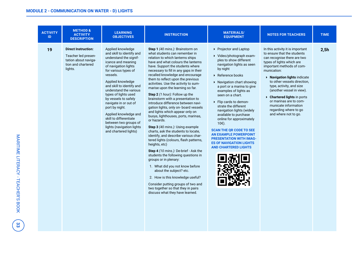<span id="page-32-0"></span>

| <b>ACTIVITY</b><br>ID | <b>METHOD &amp;</b><br><b>ACTIVITY</b><br><b>DESCRIPTION</b>                                               | <b>LEARNING</b><br><b>OBJECTIVES</b>                                                                                                                                                                                                                                                                                                                                                                                                                                | <b>INSTRUCTION</b>                                                                                                                                                                                                                                                                                                                                                                                                                                                                                                                                                                                                                                                                                                                                                                                                                                                                                                                                                                                                                                                                                                                    | <b>MATERIALS/</b><br><b>EQUIPMENT</b>                                                                                                                                                                                                                                                                                                                                                                                                                                                                                                                                                 | <b>NOTES FOR TEACHERS</b>                                                                                                                                                                                                                                                                                                                                                                                                         | <b>TIME</b> |
|-----------------------|------------------------------------------------------------------------------------------------------------|---------------------------------------------------------------------------------------------------------------------------------------------------------------------------------------------------------------------------------------------------------------------------------------------------------------------------------------------------------------------------------------------------------------------------------------------------------------------|---------------------------------------------------------------------------------------------------------------------------------------------------------------------------------------------------------------------------------------------------------------------------------------------------------------------------------------------------------------------------------------------------------------------------------------------------------------------------------------------------------------------------------------------------------------------------------------------------------------------------------------------------------------------------------------------------------------------------------------------------------------------------------------------------------------------------------------------------------------------------------------------------------------------------------------------------------------------------------------------------------------------------------------------------------------------------------------------------------------------------------------|---------------------------------------------------------------------------------------------------------------------------------------------------------------------------------------------------------------------------------------------------------------------------------------------------------------------------------------------------------------------------------------------------------------------------------------------------------------------------------------------------------------------------------------------------------------------------------------|-----------------------------------------------------------------------------------------------------------------------------------------------------------------------------------------------------------------------------------------------------------------------------------------------------------------------------------------------------------------------------------------------------------------------------------|-------------|
| 19                    | <b>Direct Instruction:</b><br>Teacher led presen-<br>tation about naviga-<br>tion and chartered<br>lights. | Applied knowledge<br>and skill to identify and<br>understand the signif-<br>icance and meaning<br>of navigation lights<br>for various types of<br>vessels.<br>Applied knowledge<br>and skill to identify and<br>understand the various<br>types of lights used<br>by vessels to safely<br>navigate in or out of<br>port by night.<br>Applied knowledge and<br>skill to differentiate<br>between two groups of<br>lights (navigation lights<br>and chartered lights) | Step 1 (40 mins.): Brainstorm on<br>what students can remember in<br>relation to which lanterns ships<br>have and what colours the lanterns<br>have. Support the students where<br>necessary to fill in any gaps in their<br>recalled knowledge and encourage<br>them to reflect upon the previous<br>activities. Use the activity to sum-<br>marise upon the learning so far.<br>Step 2 (1 hour): Follow up the<br>brainstorm with a presentation to<br>introduce difference between navi-<br>gation lights, only on- board vessels<br>and lights which appear only on<br>buoys, lighthouses, ports, marinas,<br>or hazards.<br>Step 3 (40 mins.): Using example<br>charts, ask the students to locate,<br>identify, and describe various char-<br>tered lights (colours, flash patterns,<br>heights, etc)<br>Step 4 (10 mins.): De-brief - Ask the<br>students the following questions in<br>groups or in plenary:<br>1. What did you not know before<br>about the subject? etc.<br>2. How is this knowledge useful?<br>Consider putting groups of two and<br>two together so that they in pairs<br>discuss what they have learned. | ▶ Projector and Laptop<br>▶ Video/photograph exam-<br>ples to show different<br>navigation lights as seen<br>by night<br>$\triangleright$ Reference books<br>▶ Navigation chart showing<br>a port or a marina to give<br>examples of lights as<br>seen on a chart.<br>Flip cards to demon-<br>strate the different<br>navigation lights (widely<br>available to purchase<br>online for approximately<br>$10€$ ).<br><b>SCAN THE QR CODE TO SEE</b><br><b>AN EXAMPLE POWERPOINT</b><br><b>PRESENTATION WITH IMAG-</b><br><b>ES OF NAVIGATION LIGHTS</b><br><b>AND CHARTERED LIGHTS</b> | In this activity it is important<br>to ensure that the students<br>can recognise there are two<br>types of lights which are<br>important methods of com-<br>munication:<br>▶ Navigation lights indicate<br>to other vessels direction,<br>type, activity, and size<br>(another vessel in view).<br>▶ Chartered lights in ports<br>or marinas are to com-<br>municate information<br>regarding where to go<br>and where not to go. | 2,5h        |

ີສ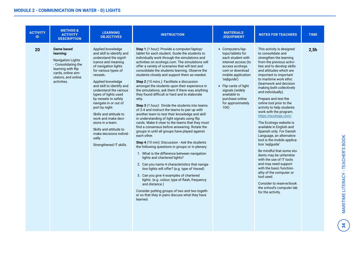| <b>ACTIVITY</b><br>ID | <b>METHOD &amp;</b><br><b>ACTIVITY</b><br><b>DESCRIPTION</b>                                                                                                        | <b>LEARNING</b><br><b>OBJECTIVES</b>                                                                                                                                                                                                                                                                                                                                                                                                                                                             | <b>INSTRUCTION</b>                                                                                                                                                                                                                                                                                                                                                                                                                                                                                                                                                                                                                                                                                                                                                                                                                                                                                                                                                                                                                                                                                                                                                                                                                                                                                                                                                                                                                                                      | <b>MATERIALS</b><br>/EQUIPMENT                                                                                                                                                                                                                                                                 | <b>NOTES FOR TEACHERS</b>                                                                                                                                                                                                                                                                                                                                                                                                                                                                                                                                                                                                                                                                                                                                                                                                                                              | <b>TIME</b> |
|-----------------------|---------------------------------------------------------------------------------------------------------------------------------------------------------------------|--------------------------------------------------------------------------------------------------------------------------------------------------------------------------------------------------------------------------------------------------------------------------------------------------------------------------------------------------------------------------------------------------------------------------------------------------------------------------------------------------|-------------------------------------------------------------------------------------------------------------------------------------------------------------------------------------------------------------------------------------------------------------------------------------------------------------------------------------------------------------------------------------------------------------------------------------------------------------------------------------------------------------------------------------------------------------------------------------------------------------------------------------------------------------------------------------------------------------------------------------------------------------------------------------------------------------------------------------------------------------------------------------------------------------------------------------------------------------------------------------------------------------------------------------------------------------------------------------------------------------------------------------------------------------------------------------------------------------------------------------------------------------------------------------------------------------------------------------------------------------------------------------------------------------------------------------------------------------------------|------------------------------------------------------------------------------------------------------------------------------------------------------------------------------------------------------------------------------------------------------------------------------------------------|------------------------------------------------------------------------------------------------------------------------------------------------------------------------------------------------------------------------------------------------------------------------------------------------------------------------------------------------------------------------------------------------------------------------------------------------------------------------------------------------------------------------------------------------------------------------------------------------------------------------------------------------------------------------------------------------------------------------------------------------------------------------------------------------------------------------------------------------------------------------|-------------|
| 20                    | <b>Game based</b><br>learning:<br><b>Navigation Lights</b><br>- Consolidating the<br>learning with flip<br>cards, online sim-<br>ulators, and online<br>activities. | Applied knowledge<br>and skill to identify and<br>understand the signif-<br>icance and meaning<br>of navigation lights<br>for various types of<br>vessels.<br>Applied knowledge<br>and skill to identify and<br>understand the various<br>types of lights used<br>by vessels to safely<br>navigate in or out of<br>port by night.<br>Skills and attitude to<br>work and make deci-<br>sions in a team.<br>Skills and attitude to<br>make decisions individ-<br>ually.<br>Strengthened IT skills. | Step 1 (1 hour): Provide a computer/laptop/<br>tablet for each student. Guide the students to<br>individually work through the simulations and<br>activities on ecolregs.com. The simulations will<br>offer a variety of scenarios that will test and<br>consolidate the students learning. Observe the<br>students closely and support them as needed.<br>Step 2 (15 mins.): Facilitate a discussion<br>amongst the students upon their experience in<br>the simulations, ask them if there was anything<br>they found difficult or hard and to elaborate<br>why.<br>Step 3 (1 hour): Divide the students into teams<br>of 2-4 and instruct the teams to pair up with<br>another team to test their knowledge and skill<br>in understanding of light signals using flip<br>cards. Make it clear to the teams that they must<br>find a consensus before answering. Rotate the<br>groups in until all groups have played against<br>each other.<br>Step 4 (15 min): Discussion - Ask the students<br>the following questions in groups or in plenary:<br>1. What is the difference between navigation<br>lights and chartered lights?<br>2. Can you name 4 characteristics that naviga-<br>tion lights will offer? (e.g. type of Vessel)<br>3. Can you give 4 examples of chartered<br>lights. (e.g. colour, type of flash, frequency<br>and distance.)<br>Consider putting groups of two and two togeth-<br>er so that they in pairs discuss what they have<br>learned. | Computers/lap-<br>tops/tablets for<br>each student with<br>internet access (to<br>access ecolregs.<br>com or download<br>mobile application<br>'sejlguide')<br>$\triangleright$ Flip cards of light<br>signals (widely<br>available to<br>purchase online<br>for approximately<br>$10\epsilon$ | This activity is designed<br>to consolidate and<br>strengthen the learning<br>from the previous activi-<br>ties and to develop skills<br>and attitudes which are<br>important to important<br>to maritime work ethic<br>(teamwork and decision<br>making both collectively<br>and individually).<br>Prepare and test the<br>online tool prior to the<br>activity to help students<br>work with the program.<br>https://ecolregs.com/<br>The Ecolregs website is<br>available in English and<br>Spanish only. For Danish<br>Language, an alternative<br>tool is the mobile applica-<br>tion 'sejlguide'<br>Be mindful that some stu-<br>dents may be unfamiliar<br>with the use of IT tools<br>and may need support<br>with the basic function-<br>ality of the computer or<br>tool used.<br>Consider to reserve/book<br>the school's computer lab<br>for the activity. | 2,5h        |

 $\overline{a}$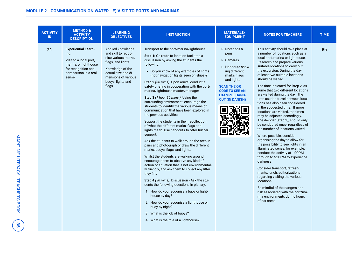<span id="page-34-0"></span>

| <b>ACTIVITY</b><br>ID | <b>METHOD &amp;</b><br><b>ACTIVITY</b><br><b>DESCRIPTION</b>                                                                                  | <b>LEARNING</b><br><b>OBJECTIVES</b>                                                                                                                                                   | <b>INSTRUCTION</b>                                                                                                                                                                                                                                                                                                                                                                                                                                                                                                                                                                                                                                                                                                                                                                                                                                                                                                                                                                                                                                                                                                                                                                                                                                                                                                                                                | <b>MATERIALS/</b><br><b>EQUIPMENT</b>                                                                                                                                                                                                              | <b>NOTES FOR TEACHERS</b>                                                                                                                                                                                                                                                                                                                                                                                                                                                                                                                                                                                                                                                                                                                                                                                                                                                                                                                                                                                                                                                                                                                             | <b>TIME</b>    |
|-----------------------|-----------------------------------------------------------------------------------------------------------------------------------------------|----------------------------------------------------------------------------------------------------------------------------------------------------------------------------------------|-------------------------------------------------------------------------------------------------------------------------------------------------------------------------------------------------------------------------------------------------------------------------------------------------------------------------------------------------------------------------------------------------------------------------------------------------------------------------------------------------------------------------------------------------------------------------------------------------------------------------------------------------------------------------------------------------------------------------------------------------------------------------------------------------------------------------------------------------------------------------------------------------------------------------------------------------------------------------------------------------------------------------------------------------------------------------------------------------------------------------------------------------------------------------------------------------------------------------------------------------------------------------------------------------------------------------------------------------------------------|----------------------------------------------------------------------------------------------------------------------------------------------------------------------------------------------------------------------------------------------------|-------------------------------------------------------------------------------------------------------------------------------------------------------------------------------------------------------------------------------------------------------------------------------------------------------------------------------------------------------------------------------------------------------------------------------------------------------------------------------------------------------------------------------------------------------------------------------------------------------------------------------------------------------------------------------------------------------------------------------------------------------------------------------------------------------------------------------------------------------------------------------------------------------------------------------------------------------------------------------------------------------------------------------------------------------------------------------------------------------------------------------------------------------|----------------|
| 21                    | <b>Experiential Learn-</b><br>ing:<br>Visit to a local port,<br>marina, or lighthouse<br>for recognition and<br>comparison in a real<br>sense | Applied knowledge<br>and skill to recog-<br>nise various marks,<br>flags, and lights.<br>Knowledge of the<br>actual size and di-<br>mensions of various<br>buoys, lights and<br>flags. | Transport to the port/marina/lighthouse.<br>Step 1: On route to location facilitate a<br>discussion by asking the students the<br>following:<br>▶ Do you know of any examples of lights<br>(not navigation lights seen on ships)?<br>Step 2 (30 mins): Upon arrival conduct a<br>safety briefing in cooperation with the port/<br>marina/lighthouse master/manager.<br>Step 3 (1 hour 30 mins.): Using the<br>surrounding environment, encourage the<br>students to identify the various means of<br>communication that have been explored in<br>the previous activities.<br>Support the students in their recollection<br>of what the different marks, flags and<br>lights mean. Use handouts to offer further<br>support.<br>Ask the students to walk around the area in<br>pairs and photograph or draw the different<br>marks, buoys, flags, and lights.<br>Whilst the students are walking around,<br>encourage them to observe any kind of<br>action or situation that is not environmental-<br>ly friendly, and ask them to collect any litter<br>they find.<br>Step 4 (30 mins): Discussion - Ask the stu-<br>dents the following questions in plenary:<br>1. How do you recognise a buoy or light-<br>house by day?<br>2. How do you recognise a lighthouse or<br>buoy by night?<br>3. What is the job of buoys?<br>4. What is the role of a lighthouse? | $\triangleright$ Notepads &<br>pens<br>$\triangleright$ Cameras<br>$\triangleright$ Handouts show-<br>ing different<br>marks, flags<br>and lights<br><b>SCAN THE QR</b><br><b>CODE TO SEE AN</b><br><b>EXAMPLE HAND-</b><br><b>OUT (IN DANISH)</b> | This activity should take place at<br>a number of locations such as a<br>local port, marina or lighthouse.<br>Research and prepare various<br>suitable locations to carry out<br>the excursion. During the day,<br>at least two suitable locations<br>should be visited.<br>The time indicated for 'step 2' as-<br>sume that two different locations<br>are visited during the day. The<br>time used to travel between loca-<br>tions has also been considered<br>in the suggested time. If more<br>locations are visited, the times<br>may be adjusted accordingly.<br>The de-brief (step 3), should only<br>be conducted once, regardless of<br>the number of locations visited.<br>Where possible, consider<br>organising the day to allow for<br>the possibility to see lights in an<br>illuminated sense, for example,<br>conduct the activity at 1:00PM<br>through to 5:00PM to experience<br>darkness.<br>Consider transport, refresh-<br>ments, lunch, authorizations<br>regarding visiting the various<br>locations.<br>Be mindful of the dangers and<br>risk associated with the port/ma-<br>rina environments during hours<br>of darkness. | 5 <sub>h</sub> |

໌ສົ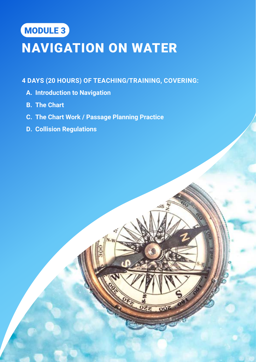## MODULE 3 NAVIGATION ON WATER

### **4 DAYS (20 HOURS) OF TEACHING/TRAINING, COVERING:**

 $\overline{00}$ 

- **A. Introduction to Navigation**
- **B. The Chart**
- **C. The Chart Work / Passage Planning Practice**
- **D. Collision Regulations**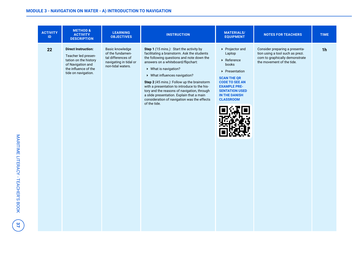<span id="page-36-0"></span>

| <b>ACTIVITY</b><br>ID | <b>METHOD &amp;</b><br><b>ACTIVITY</b><br><b>DESCRIPTION</b>                                                                                   | <b>LEARNING</b><br><b>OBJECTIVES</b>                                                                     | <b>INSTRUCTION</b>                                                                                                                                                                                                                                                                                                                                                                                                                                                                             | <b>MATERIALS/</b><br><b>EQUIPMENT</b>                                                                                                                                                                                         | <b>NOTES FOR TEACHERS</b>                                                                                                         | <b>TIME</b>    |
|-----------------------|------------------------------------------------------------------------------------------------------------------------------------------------|----------------------------------------------------------------------------------------------------------|------------------------------------------------------------------------------------------------------------------------------------------------------------------------------------------------------------------------------------------------------------------------------------------------------------------------------------------------------------------------------------------------------------------------------------------------------------------------------------------------|-------------------------------------------------------------------------------------------------------------------------------------------------------------------------------------------------------------------------------|-----------------------------------------------------------------------------------------------------------------------------------|----------------|
| 22                    | <b>Direct Instruction:</b><br>Teacher led presen-<br>tation on the history<br>of Navigation and<br>the influence of the<br>tide on navigation. | Basic knowledge<br>of the fundamen-<br>tal differences of<br>navigating in tidal or<br>non-tidal waters. | Step 1 (15 mins.): Start the activity by<br>facilitating a brainstorm. Ask the students<br>the following questions and note down the<br>answers on a whiteboard/flipchart:<br>▶ What is navigation?<br>• What influences navigation?<br>Step 2 (45 mins.): Follow up the brainstorm<br>with a presentation to introduce to the his-<br>tory and the reasons of navigation, through<br>a slide presentation. Explain that a main<br>consideration of navigation was the effects<br>of the tide. | ▶ Projector and<br>Laptop<br>$\triangleright$ Reference<br>books<br>▶ Presentation<br><b>SCAN THE QR</b><br><b>CODE TO SEE AN</b><br><b>EXAMPLE PRE-</b><br><b>SENTATION USED</b><br><b>IN THE DANISH</b><br><b>CLASSROOM</b> | Consider preparing a presenta-<br>tion using a tool such as prezi.<br>com to graphically demonstrate<br>the movement of the tide. | 1 <sub>h</sub> |

 $\frac{37}{2}$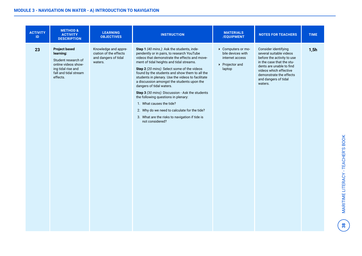| <b>ACTIVITY</b><br>$\mathsf{ID}$ | <b>METHOD &amp;</b><br><b>ACTIVITY</b><br><b>DESCRIPTION</b>                                                                               | <b>LEARNING</b><br><b>OBJECTIVES</b>                                              | <b>INSTRUCTION</b>                                                                                                                                                                                                                                                                                                                                                                                                                                                                                                                                                                                                                                               | <b>MATERIALS</b><br>/EQUIPMENT                                                        | <b>NOTES FOR TEACHERS</b>                                                                                                                                                                                                      | <b>TIME</b> |
|----------------------------------|--------------------------------------------------------------------------------------------------------------------------------------------|-----------------------------------------------------------------------------------|------------------------------------------------------------------------------------------------------------------------------------------------------------------------------------------------------------------------------------------------------------------------------------------------------------------------------------------------------------------------------------------------------------------------------------------------------------------------------------------------------------------------------------------------------------------------------------------------------------------------------------------------------------------|---------------------------------------------------------------------------------------|--------------------------------------------------------------------------------------------------------------------------------------------------------------------------------------------------------------------------------|-------------|
| 23                               | <b>Project based</b><br>learning:<br>Student research of<br>online videos show-<br>ing tidal rise and<br>fall and tidal stream<br>effects. | Knowledge and appre-<br>ciation of the effects<br>and dangers of tidal<br>waters. | Step 1 (40 mins.): Ask the students, inde-<br>pendently or in pairs, to research YouTube<br>videos that demonstrate the effects and move-<br>ment of tidal heights and tidal streams.<br>Step 2 (20 mins): Select some of the videos<br>found by the students and show them to all the<br>students in plenary. Use the videos to facilitate<br>a discussion amongst the students upon the<br>dangers of tidal waters.<br>Step 3 (30 mins): Discussion - Ask the students<br>the following questions in plenary:<br>1. What causes the tide?<br>2. Why do we need to calculate for the tide?<br>3. What are the risks to navigation if tide is<br>not considered? | Computers or mo-<br>bile devices with<br>internet access<br>▶ Projector and<br>laptop | Consider identifying<br>several suitable videos<br>before the activity to use<br>in the case that the stu-<br>dents are unable to find<br>videos which effective<br>demonstrate the effects<br>and dangers of tidal<br>waters. | 1,5h        |

88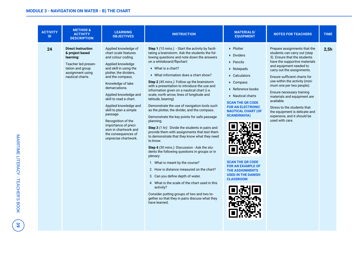<span id="page-38-0"></span>

| <b>ACTIVITY</b><br>ID | <b>METHOD &amp;</b><br><b>ACTIVITY</b><br><b>DESCRIPTION</b>                                                                                 | <b>LEARNING</b><br><b>OBJECTIVES</b>                                                                                                                                                                                                                                                                                                                                                                                                          | <b>INSTRUCTION</b>                                                                                                                                                                                                                                                                                                                                                                                                                                                                                                                                                                                                                                                                                                                                                                                                                                                                                                                                                                                                                                                                                                                                                                                                                   | <b>MATERIALS/</b><br><b>EQUIPMENT</b>                                                                                                                                                                                                                                                                                                                                                                                                                             | <b>NOTES FOR TEACHERS</b>                                                                                                                                                                                                                                                                                                                                                                                                                                                        | <b>TIME</b> |
|-----------------------|----------------------------------------------------------------------------------------------------------------------------------------------|-----------------------------------------------------------------------------------------------------------------------------------------------------------------------------------------------------------------------------------------------------------------------------------------------------------------------------------------------------------------------------------------------------------------------------------------------|--------------------------------------------------------------------------------------------------------------------------------------------------------------------------------------------------------------------------------------------------------------------------------------------------------------------------------------------------------------------------------------------------------------------------------------------------------------------------------------------------------------------------------------------------------------------------------------------------------------------------------------------------------------------------------------------------------------------------------------------------------------------------------------------------------------------------------------------------------------------------------------------------------------------------------------------------------------------------------------------------------------------------------------------------------------------------------------------------------------------------------------------------------------------------------------------------------------------------------------|-------------------------------------------------------------------------------------------------------------------------------------------------------------------------------------------------------------------------------------------------------------------------------------------------------------------------------------------------------------------------------------------------------------------------------------------------------------------|----------------------------------------------------------------------------------------------------------------------------------------------------------------------------------------------------------------------------------------------------------------------------------------------------------------------------------------------------------------------------------------------------------------------------------------------------------------------------------|-------------|
| 24                    | <b>Direct Instruction</b><br>& project based<br>learning:<br>Teacher led presen-<br>tation and group<br>assignment using<br>nautical charts. | Applied knowledge of<br>chart scale features<br>and colour coding.<br>Applied knowledge<br>and skill in using the<br>plotter, the dividers,<br>and the compass.<br>Knowledge of lake<br>demarcations.<br>Applied knowledge and<br>skill to read a chart.<br>Applied knowledge and<br>skill to plan a simple<br>passage.<br>Recognition of the<br>importance of preci-<br>sion in chartwork and<br>the consequences of<br>unprecise chartwork. | <b>Step 1</b> (15 mins.) - Start the activity by facili-<br>tating a brainstorm. Ask the students the fol-<br>lowing questions and note down the answers<br>on a whiteboard/flipchart:<br>$\triangleright$ What is a chart?<br>• What information does a chart show?<br>Step 2 (45 mins.): Follow up the brainstorm<br>with a presentation to introduce the use and<br>information given on a nautical chart (i.e.<br>scale, north arrow, lines of longitude and<br>latitude, bearing)<br>Demonstrate the use of navigation tools such<br>as the plotter, the divider, and the compass.<br>Demonstrate the key points for safe passage<br>planning.<br>Step 3 (1 hr): Divide the students in pairs and<br>provide them with assignments that test them<br>to demonstrate that they know what they need<br>to know.<br>Step 4 (30 mins.): Discussion - Ask the stu-<br>dents the following questions in groups or in<br>plenary:<br>1. What is meant by the course?<br>2. How is distance measured on the chart?<br>3. Can you define depth of water.<br>4. What is the scale of the chart used in this<br>activity?<br>Consider putting groups of two and two to-<br>gether so that they in pairs discuss what they<br>have learned. | ▶ Plotter<br>$\triangleright$ Dividers<br>$\triangleright$ Pencils<br>$\triangleright$ Notepads<br>$\triangleright$ Calculators<br>$\triangleright$ Compass<br>$\triangleright$ Reference books<br>▶ Nautical charts<br><b>SCAN THE QR CODE</b><br><b>FOR AN ELECTRONIC</b><br><b>NAUTICAL CHART (OF</b><br><b>SCANDINAVIA)</b><br><b>SCAN THE QR CODE</b><br><b>FOR AN EXAMPLE OF</b><br><b>THE ASSIGNMENTS</b><br><b>USED IN THE DANISH</b><br><b>CLASSROOM</b> | Prepare assignments that the<br>students can carry out (step<br>3). Ensure that the students<br>have the supportive materials<br>and equipment needed to<br>carry out the assignments.<br>Ensure sufficient charts for<br>use within the activity (mini-<br>mum one per two people).<br>Ensure necessary training<br>materials and equipment are<br>available.<br>Stress to the students that<br>the equipment is delicate and<br>expensive, and it should be<br>used with care. | 2,5h        |

**39**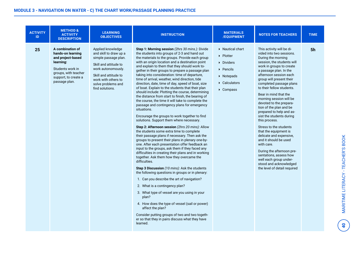<span id="page-39-0"></span>

| <b>ACTIVITY</b><br>ID | <b>METHOD &amp;</b><br><b>ACTIVITY</b><br><b>DESCRIPTION</b>                                                                                                 | <b>LEARNING</b><br><b>OBJECTIVES</b>                                                                                                                                                                        | <b>INSTRUCTION</b>                                                                                                                                                                                                                                                                                                                                                                                                                                                                                                                                                                                                                                                                                                                                                                                                                                                                                                                                                                                                                                                                                                                                                                                                                                                                                                                                                                                                                                                                                                                                                                                                                                                                                                 | <b>MATERIALS</b><br>/EQUIPMENT                                                                                                                                                | <b>NOTES FOR TEACHERS</b>                                                                                                                                                                                                                                                                                                                                                                                                                                                                                                                                                                                                                                                                                                        | <b>TIME</b>    |
|-----------------------|--------------------------------------------------------------------------------------------------------------------------------------------------------------|-------------------------------------------------------------------------------------------------------------------------------------------------------------------------------------------------------------|--------------------------------------------------------------------------------------------------------------------------------------------------------------------------------------------------------------------------------------------------------------------------------------------------------------------------------------------------------------------------------------------------------------------------------------------------------------------------------------------------------------------------------------------------------------------------------------------------------------------------------------------------------------------------------------------------------------------------------------------------------------------------------------------------------------------------------------------------------------------------------------------------------------------------------------------------------------------------------------------------------------------------------------------------------------------------------------------------------------------------------------------------------------------------------------------------------------------------------------------------------------------------------------------------------------------------------------------------------------------------------------------------------------------------------------------------------------------------------------------------------------------------------------------------------------------------------------------------------------------------------------------------------------------------------------------------------------------|-------------------------------------------------------------------------------------------------------------------------------------------------------------------------------|----------------------------------------------------------------------------------------------------------------------------------------------------------------------------------------------------------------------------------------------------------------------------------------------------------------------------------------------------------------------------------------------------------------------------------------------------------------------------------------------------------------------------------------------------------------------------------------------------------------------------------------------------------------------------------------------------------------------------------|----------------|
| 25                    | A combination of<br>hands-on learning<br>and project-based<br>learning:<br>Students work in<br>groups, with teacher<br>support, to create a<br>passage plan. | Applied knowledge<br>and skill to draw up a<br>simple passage plan.<br>Skill and attitude to<br>work autonomously.<br>Skill and attitude to<br>work with others to<br>solve problems and<br>find solutions. | Step 1: Morning session (2hrs 30 mins.): Divide<br>the students into groups of 2-3 and hand out<br>the materials to the groups. Provide each group<br>with an origin location and a destination point<br>and explain to them that they should work to-<br>gether in their groups to prepare a passage plan<br>taking into consideration: time of departure,<br>time of arrival, weather, wind direction, tide<br>direction, date, time of day, speed of boat, size<br>of boat. Explain to the students that their plan<br>should include: Plotting the course, determining<br>the distance from start to finish, the bearing of<br>the course, the time it will take to complete the<br>passage and contingency plans for emergency<br>situations.<br>Encourage the groups to work together to find<br>solutions. Support them where necessary.<br>Step 2: Afternoon session (2hrs 20 mins): Allow<br>the students some extra time to complete<br>their passage plans if necessary. Then ask the<br>groups to present their plans in plenary one-by-<br>one. After each presentation offer feedback an<br>input to the groups, ask them if they faced any<br>difficulties in creating their plans and in working<br>together. Ask them how they overcame the<br>difficulties.<br>Step 3 Discussion (10 mins): Ask the students<br>the following questions in groups or in plenary:<br>1. Can you describe the art of navigation?<br>2. What is a contingency plan?<br>3. What type of vessel are you using in your<br>plan?<br>4. How does the type of vessel (sail or power)<br>affect the plan?<br>Consider putting groups of two and two togeth-<br>er so that they in pairs discuss what they have<br>learned. | $\triangleright$ Nautical chart<br>▶ Plotter<br>$\triangleright$ Dividers<br>$\triangleright$ Pencils<br>$\triangleright$ Notepads<br>$\triangleright$ Calculators<br>Compass | This activity will be di-<br>vided into two sessions.<br>During the morning<br>session, the students will<br>work in groups to create<br>a passage plan. In the<br>afternoon session each<br>group will present their<br>completed passage plans<br>to their fellow students.<br>Bear in mind that the<br>morning session will be<br>devoted to the prepara-<br>tion of the plan and be<br>prepared to help and as-<br>sist the students during<br>this process.<br>Stress to the students<br>that the equipment is<br>delicate and expensive.<br>and it should be used<br>with care.<br>During the afternoon pre-<br>sentations, assess how<br>well each group under-<br>stood and acknowledged<br>the level of detail required | 5 <sub>h</sub> |

 $\overline{q}$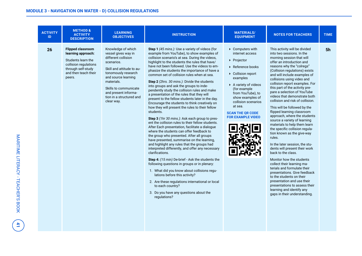<span id="page-40-0"></span>

| <b>ACTIVITY</b><br>ID | <b>METHOD &amp;</b><br><b>ACTIVITY</b><br><b>DESCRIPTION</b>                                                                                          | <b>LEARNING</b><br><b>OBJECTIVES</b>                                                                                                                                                                                                                               | <b>INSTRUCTION</b>                                                                                                                                                                                                                                                                                                                                                                                                                                                                                                                                                                                                                                                                                                                                                                                                                                                                                                                                                                                                                                                                                                                                                                                                                                                                                                                                                                                                                                          | <b>MATERIALS/</b><br><b>EQUIPMENT</b>                                                                                                                                                                                                                                                             | <b>NOTES FOR TEACHERS</b>                                                                                                                                                                                                                                                                                                                                                                                                                                                                                                                                                                                                                                                                                                                                                                                                                                                                                                                                                                                                                  | <b>TIME</b> |
|-----------------------|-------------------------------------------------------------------------------------------------------------------------------------------------------|--------------------------------------------------------------------------------------------------------------------------------------------------------------------------------------------------------------------------------------------------------------------|-------------------------------------------------------------------------------------------------------------------------------------------------------------------------------------------------------------------------------------------------------------------------------------------------------------------------------------------------------------------------------------------------------------------------------------------------------------------------------------------------------------------------------------------------------------------------------------------------------------------------------------------------------------------------------------------------------------------------------------------------------------------------------------------------------------------------------------------------------------------------------------------------------------------------------------------------------------------------------------------------------------------------------------------------------------------------------------------------------------------------------------------------------------------------------------------------------------------------------------------------------------------------------------------------------------------------------------------------------------------------------------------------------------------------------------------------------------|---------------------------------------------------------------------------------------------------------------------------------------------------------------------------------------------------------------------------------------------------------------------------------------------------|--------------------------------------------------------------------------------------------------------------------------------------------------------------------------------------------------------------------------------------------------------------------------------------------------------------------------------------------------------------------------------------------------------------------------------------------------------------------------------------------------------------------------------------------------------------------------------------------------------------------------------------------------------------------------------------------------------------------------------------------------------------------------------------------------------------------------------------------------------------------------------------------------------------------------------------------------------------------------------------------------------------------------------------------|-------------|
| 26                    | <b>Flipped classroom</b><br>learning approach:<br>Students learn the<br>collision regulations<br>through self-study<br>and then teach their<br>peers. | Knowledge of which<br>vessel gives way in<br>different collision<br>scenarios.<br>Skill and attitude to au-<br>tonomously research<br>and source learning<br>materials.<br>Skills to communicate<br>and present informa-<br>tion in a structured and<br>clear way. | Step 1 (45 mins.): Use a variety of videos (for<br>example from YouTube), to show examples of<br>collision scenario's at sea. During the videos,<br>highlight to the students the rules that have/<br>have not been followed. Use the videos to em-<br>phasize the students the importance of have a<br>common set of collision rules when at sea.<br>Step 2 (2hrs. 30 mins.): Divide the students<br>into groups and ask the groups to inde-<br>pendently study the collision rules and make<br>a presentation of the rules that they will<br>present to the fellow students later in the day.<br>Encourage the students to think creatively on<br>how they will present the rules to their fellow<br>students.<br>Step 3 (1hr 30 mins.): Ask each group to pres-<br>ent the collision rules to their fellow students.<br>After Each presentation, facilitate a dialogue<br>where the students can offer feedback to<br>the group who presented. After all groups<br>have presented, summarise on the learning,<br>and highlight any rules that the groups had<br>interpreted differently, and offer any necessary<br>clarifications.<br>Step 4: (15 min) De-brief - Ask the students the<br>following questions in groups or in plenary:<br>1. What did you know about collisions regu-<br>lations before this activity?<br>2. Are these regulations international or local<br>to each country?<br>3. Do you have any questions about the<br>regulations? | $\triangleright$ Computers with<br>internet access<br>▶ Projector<br>▶ Reference books<br>▶ Collision report<br>examples<br>A variety of videos<br>(for example<br>from YouTube), to<br>show examples of<br>collision scenarios<br>at sea.<br><b>SCAN THE QR CODE</b><br><b>FOR EXAMPLE VIDEO</b> | This activity will be divided<br>into two sessions. In the<br>morning session that will<br>offer an introduction and<br>reasons why the "colregs"<br>(Collision regulations) exists<br>and will include examples of<br>collisions using video and<br>collision report examples. For<br>this part of the activity pre-<br>pare a selection of YouTube<br>videos that demonstrate both<br>collision and risk of collision.<br>This will be followed by the<br>flipped learning classroom<br>approach, where the students<br>source a variety of learning<br>materials to help them learn<br>the specific collision regula-<br>tion known as the give-way<br>rules.<br>In the later session, the stu-<br>dents will present their work<br>back to the class.<br>Monitor how the students<br>collect their learning ma-<br>terials and formulate their<br>presentations. Give feedback<br>to the students on their<br>presentation and use their<br>presentations to assess their<br>learning and identify any<br>gaps in their understanding. | 5h          |

 $\begin{pmatrix} 41 \end{pmatrix}$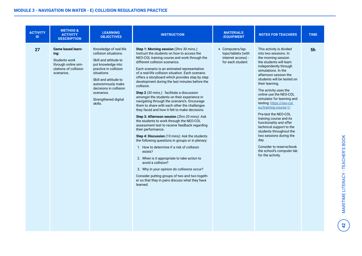<span id="page-41-0"></span>

| <b>ACTIVITY</b><br>ID | <b>METHOD &amp;</b><br><b>ACTIVITY</b><br><b>DESCRIPTION</b>                                             | <b>LEARNING</b><br><b>OBJECTIVES</b>                                                                                                                                                                                                                            | <b>INSTRUCTION</b>                                                                                                                                                                                                                                                                                                                                                                                                                                                                                                                                                                                                                                                                                                                                                                                                                                                                                                                                                                                                                                                                                                                                                                                                    | <b>MATERIALS</b><br>/EQUIPMENT                                                 | <b>NOTES FOR TEACHERS</b>                                                                                                                                                                                                                                                                                                                                                                                                                                                                                                                                                                                                  | <b>TIME</b> |
|-----------------------|----------------------------------------------------------------------------------------------------------|-----------------------------------------------------------------------------------------------------------------------------------------------------------------------------------------------------------------------------------------------------------------|-----------------------------------------------------------------------------------------------------------------------------------------------------------------------------------------------------------------------------------------------------------------------------------------------------------------------------------------------------------------------------------------------------------------------------------------------------------------------------------------------------------------------------------------------------------------------------------------------------------------------------------------------------------------------------------------------------------------------------------------------------------------------------------------------------------------------------------------------------------------------------------------------------------------------------------------------------------------------------------------------------------------------------------------------------------------------------------------------------------------------------------------------------------------------------------------------------------------------|--------------------------------------------------------------------------------|----------------------------------------------------------------------------------------------------------------------------------------------------------------------------------------------------------------------------------------------------------------------------------------------------------------------------------------------------------------------------------------------------------------------------------------------------------------------------------------------------------------------------------------------------------------------------------------------------------------------------|-------------|
| 27                    | Game based learn-<br>ing:<br>Students work<br>through online sim-<br>ulations of collision<br>scenarios. | Knowledge of real-life<br>collision situations.<br>Skill and attitude to<br>put knowledge into<br>practice in collision<br>situations.<br>Skill and attitude to<br>autonomously make<br>decisions in collision<br>scenarios.<br>Strengthened digital<br>skills. | Step 1: Morning session (2hrs 30 mins.):<br>Instruct the students on how to access the<br>NEO-COL training course and work through the<br>different collision scenarios.<br>Each scenario is an animated representation<br>of a real-life collision situation. Each scenario<br>offers a storyboard which provides step by step<br>development during the last minutes before the<br>collision.<br>Step 2 (30 mins.): facilitate a discussion<br>amongst the students on their experience in<br>navigating through the scenario's. Encourage<br>them to share with each other the challenges<br>they faced and how it felt to make decisions.<br>Step 3: Afternoon session (2hrs 20 mins): Ask<br>the students to work through the NEO-COL<br>assessment test to receive feedback regarding<br>their performance.<br>Step 4: Discussion (10 mins): Ask the students<br>the following questions in groups or in plenary:<br>1. How to determine if a risk of collision<br>exists?<br>2. When is it appropriate to take action to<br>avoid a collision?<br>3. Why in your opinion do collisions occur?<br>Consider putting groups of two and two togeth-<br>er so that they in pairs discuss what they have<br>learned. | Computers/lap-<br>tops/tablets (with<br>internet access) -<br>for each student | This activity is divided<br>into two sessions. In<br>the morning session<br>the students will learn<br>independently through<br>simulations. In the<br>afternoon session the<br>students will be tested on<br>their learning.<br>The activity uses the<br>online use the NEO-COL<br>simulator for learning and<br>testing: https://neo-col.<br>eu/training-course-1/<br>Pre-test the NEO-COL<br>training course and its<br>functionality and offer<br>technical support to the<br>students throughout the<br>two sessions during the<br>day.<br>Consider to reserve/book<br>the school's computer lab<br>for the activity. | 5h          |

 $\overline{42}$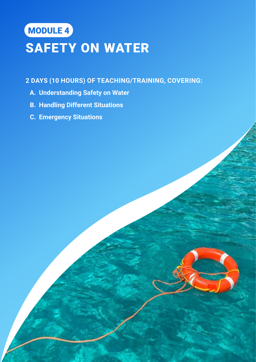## MODULE 4 SAFETY ON WATER

### **2 DAYS (10 HOURS) OF TEACHING/TRAINING, COVERING:**

MARITIME LITERACY - TEACHER'S BOOK **43**

- **A. Understanding Safety on Water**
- **B. Handling Different Situations**
- **C. Emergency Situations**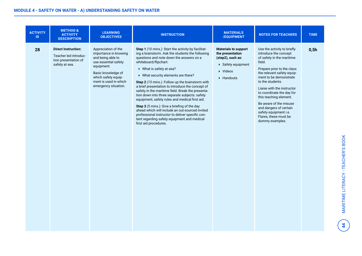<span id="page-43-0"></span>

| <b>ACTIVITY</b><br>ID | <b>METHOD &amp;</b><br><b>ACTIVITY</b><br><b>DESCRIPTION</b>                                  | <b>LEARNING</b><br><b>OBJECTIVES</b>                                                                                                                                                                  | <b>INSTRUCTION</b>                                                                                                                                                                                                                                                                                                                                                                                                                                                                                                                                                                                                                                                                                                                              | <b>MATERIALS</b><br>/EQUIPMENT                                                                                                                                    | <b>NOTES FOR TEACHERS</b>                                                                                                                                                                                                                                                                                                                                                                                           | <b>TIME</b> |
|-----------------------|-----------------------------------------------------------------------------------------------|-------------------------------------------------------------------------------------------------------------------------------------------------------------------------------------------------------|-------------------------------------------------------------------------------------------------------------------------------------------------------------------------------------------------------------------------------------------------------------------------------------------------------------------------------------------------------------------------------------------------------------------------------------------------------------------------------------------------------------------------------------------------------------------------------------------------------------------------------------------------------------------------------------------------------------------------------------------------|-------------------------------------------------------------------------------------------------------------------------------------------------------------------|---------------------------------------------------------------------------------------------------------------------------------------------------------------------------------------------------------------------------------------------------------------------------------------------------------------------------------------------------------------------------------------------------------------------|-------------|
| 28                    | <b>Direct Instruction:</b><br>Teacher led introduc-<br>tion presentation of<br>safety at sea. | Appreciation of the<br>importance in knowing<br>and being able to<br>use essential safety<br>equipment.<br>Basic knowledge of<br>which safety equip-<br>ment is used in which<br>emergency situation. | Step 1 (10 mins.): Start the activity by facilitat-<br>ing a brainstorm. Ask the students the following<br>questions and note down the answers on a<br>whiteboard/flipchart:<br>• What is safety at sea?<br>• What security elements are there?<br>Step 2 (15 mins.): Follow up the brainstorm with<br>a brief presentation to introduce the concept of<br>safety in the maritime field. Break the presenta-<br>tion down into three separate subjects: safety<br>equipment, safety rules and medical first aid.<br>Step 3 (5 mins.): Give a briefing of the day<br>ahead which will include an out-sourced invited<br>professional instructor to deliver specific con-<br>tent regarding safety equipment and medical<br>first aid procedures. | <b>Materials to support</b><br>the presentation<br>(step2), such as:<br>$\triangleright$ Safety equipment<br>$\triangleright$ Videos<br>$\triangleright$ Handouts | Use the activity to briefly<br>introduce the concept<br>of safety in the maritime<br>field.<br>Prepare prior to the class<br>the relevant safety equip-<br>ment to be demonstrate<br>to the students.<br>Liaise with the instructor<br>to coordinate the day for<br>this teaching element.<br>Be aware of the misuse<br>and dangers of certain<br>safety equipment i.e.<br>Flares, these must be<br>dummy examples. | 0,5h        |

 $\begin{bmatrix} 4 \end{bmatrix}$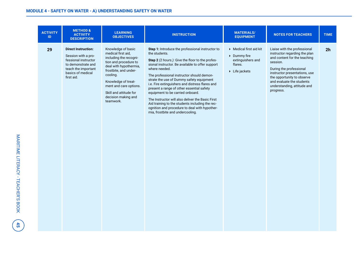| <b>ACTIVITY</b><br>ID | <b>METHOD &amp;</b><br><b>ACTIVITY</b><br><b>DESCRIPTION</b>                                                                                              | <b>LEARNING</b><br><b>OBJECTIVES</b>                                                                                                                                                                                                                                      | <b>INSTRUCTION</b>                                                                                                                                                                                                                                                                                                                                                                                                                                                                                                                                                                                                  | <b>MATERIALS/</b><br><b>EQUIPMENT</b>                                                                                      | <b>NOTES FOR TEACHERS</b>                                                                                                                                                                                                                                                    | <b>TIME</b>    |
|-----------------------|-----------------------------------------------------------------------------------------------------------------------------------------------------------|---------------------------------------------------------------------------------------------------------------------------------------------------------------------------------------------------------------------------------------------------------------------------|---------------------------------------------------------------------------------------------------------------------------------------------------------------------------------------------------------------------------------------------------------------------------------------------------------------------------------------------------------------------------------------------------------------------------------------------------------------------------------------------------------------------------------------------------------------------------------------------------------------------|----------------------------------------------------------------------------------------------------------------------------|------------------------------------------------------------------------------------------------------------------------------------------------------------------------------------------------------------------------------------------------------------------------------|----------------|
| 29                    | <b>Direct Instruction:</b><br>Session with a pro-<br>fessional instructor<br>to demonstrate and<br>teach the important<br>basics of medical<br>first aid. | Knowledge of basic<br>medical first aid,<br>including the recogni-<br>tion and procedure to<br>deal with hypothermia,<br>frostbite, and under-<br>cooling.<br>Knowledge of treat-<br>ment and care options.<br>Skill and attitude for<br>decision making and<br>teamwork. | Step 1: Introduce the professional instructor to<br>the students.<br>Step 2 (2 hours.): Give the floor to the profes-<br>sional instructor. Be available to offer support<br>where needed.<br>The professional instructor should demon-<br>strate the use of Dummy safety equipment<br>i.e. Fire extinguishers and distress flares and<br>present a range of other essential safety<br>equipment to be carried onboard.<br>The Instructor will also deliver the Basic First<br>Aid training to the students including the rec-<br>ognition and procedure to deal with hypother-<br>mia, frostbite and undercooling. | Medical first aid kit<br>$\triangleright$ Dummy fire<br>extinguishers and<br>flares.<br>$\blacktriangleright$ Life jackets | Liaise with the professional<br>instructor regarding the plan<br>and content for the teaching<br>session.<br>During the professional<br>instructor presentations, use<br>the opportunity to observe<br>and evaluate the students<br>understanding, attitude and<br>progress. | 2 <sub>h</sub> |

 $\begin{pmatrix} 4 \\ 4 \\ 0 \end{pmatrix}$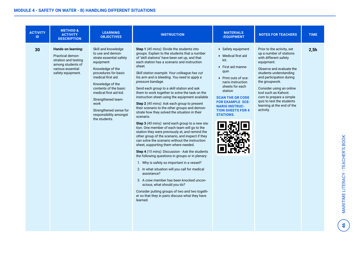<span id="page-45-0"></span>

| <b>ACTIVITY</b><br>ID | <b>METHOD &amp;</b><br><b>ACTIVITY</b><br><b>DESCRIPTION</b>                                                                                | <b>LEARNING</b><br><b>OBJECTIVES</b>                                                                                                                                                                                                                                                                                         | <b>INSTRUCTION</b>                                                                                                                                                                                                                                                                                                                                                                                                                                                                                                                                                                                                                                                                                                                                                                                                                                                                                                                                                                                                                                                                                                                                                                                                                                                                                                                                                  | <b>MATERIALS</b><br><b>/EQUIPMENT</b>                                                                                                                                                                                                                                                                | <b>NOTES FOR TEACHERS</b>                                                                                                                                                                                                                                                                                                                               | <b>TIME</b> |
|-----------------------|---------------------------------------------------------------------------------------------------------------------------------------------|------------------------------------------------------------------------------------------------------------------------------------------------------------------------------------------------------------------------------------------------------------------------------------------------------------------------------|---------------------------------------------------------------------------------------------------------------------------------------------------------------------------------------------------------------------------------------------------------------------------------------------------------------------------------------------------------------------------------------------------------------------------------------------------------------------------------------------------------------------------------------------------------------------------------------------------------------------------------------------------------------------------------------------------------------------------------------------------------------------------------------------------------------------------------------------------------------------------------------------------------------------------------------------------------------------------------------------------------------------------------------------------------------------------------------------------------------------------------------------------------------------------------------------------------------------------------------------------------------------------------------------------------------------------------------------------------------------|------------------------------------------------------------------------------------------------------------------------------------------------------------------------------------------------------------------------------------------------------------------------------------------------------|---------------------------------------------------------------------------------------------------------------------------------------------------------------------------------------------------------------------------------------------------------------------------------------------------------------------------------------------------------|-------------|
| 30                    | <b>Hands-on learning:</b><br><b>Practical demon-</b><br>stration and testing<br>among students of<br>various essential<br>safety equipment. | Skill and knowledge<br>to use and demon-<br>strate essential safety<br>equipment<br>Knowledge of the<br>procedures for basic<br>medical first aid.<br>Knowledge of the<br>contents of the basic<br>medical first aid kid.<br>Strengthened team-<br>work<br>Strengthened sense for<br>responsibility amongst<br>the students. | Step 1 (45 mins): Divide the students into<br>groups. Explain to the students that a number<br>of 'skill stations' have been set up, and that<br>each station has a scenario and instruction<br>sheet.<br>Skill station example: Your colleague has cut<br>his arm and is bleeding. You need to apply a<br>pressure bandage.<br>Send each group to a skill station and ask<br>them to work together to solve the task on the<br>instruction sheet using the equipment available<br>Step 2 (45 mins): Ask each group to present<br>their scenario to the other groups and demon-<br>strate how they solved the situation in their<br>scenario.<br>Step 3 (45 mins): send each group to a new sta-<br>tion. One member of each team will go to the<br>station they were previously at, and remind the<br>other group of the scenario, and inspect if they<br>can solve the scenario without the instruction<br>sheet, supporting them where needed.<br>Step 4 (15 mins): Discussion - Ask the students<br>the following questions in groups or in plenary:<br>1. Why is safety so important in a vessel?<br>2. In what situation will you call for medical<br>assistance?<br>3. A crew member has been knocked uncon-<br>scious, what should you do?<br>Consider putting groups of two and two togeth-<br>er so that they in pairs discuss what they have<br>learned. | $\triangleright$ Safety equipment<br>▶ Medical first aid<br>kit.<br>First aid manne-<br>quin<br>Print outs of sce-<br>nario instruction<br>sheets for each<br>station<br><b>SCAN THE QR CODE</b><br><b>FOR EXAMPLE SCE-</b><br><b>NARIO INSTRUC-</b><br><b>TION SHEETS FOR 4</b><br><b>STATIONS.</b> | Prior to the activity, set<br>up a number of stations<br>with different safety<br>equipment.<br>Observe and evaluate the<br>students understanding<br>and participation during<br>the groupwork.<br>Consider using an online<br>tool such as Kahoot.<br>com to prepare a simple<br>quiz to test the students<br>learning at the end of the<br>activity. | 2,5h        |

 $46$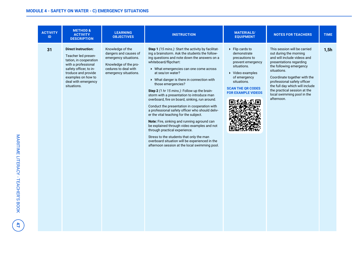<span id="page-46-0"></span>

| <b>ACTIVITY</b><br>ID | <b>METHOD &amp;</b><br><b>ACTIVITY</b><br><b>DESCRIPTION</b>                                                                                                                                                    | <b>LEARNING</b><br><b>OBJECTIVES</b>                                                                                                         | <b>INSTRUCTION</b>                                                                                                                                                                                                                                                                                                                                                                                                                                                                                                                                                                                                                                                                                                                                                                                                                                                                         | <b>MATERIALS/</b><br><b>EQUIPMENT</b>                                                                                                                                                                                          | <b>NOTES FOR TEACHERS</b>                                                                                                                                                                                                                                                                                                                | <b>TIME</b> |
|-----------------------|-----------------------------------------------------------------------------------------------------------------------------------------------------------------------------------------------------------------|----------------------------------------------------------------------------------------------------------------------------------------------|--------------------------------------------------------------------------------------------------------------------------------------------------------------------------------------------------------------------------------------------------------------------------------------------------------------------------------------------------------------------------------------------------------------------------------------------------------------------------------------------------------------------------------------------------------------------------------------------------------------------------------------------------------------------------------------------------------------------------------------------------------------------------------------------------------------------------------------------------------------------------------------------|--------------------------------------------------------------------------------------------------------------------------------------------------------------------------------------------------------------------------------|------------------------------------------------------------------------------------------------------------------------------------------------------------------------------------------------------------------------------------------------------------------------------------------------------------------------------------------|-------------|
| 31                    | <b>Direct Instruction:</b><br>Teacher led presen-<br>tation, in cooperation<br>with a professional<br>safety officer, to in-<br>troduce and provide<br>examples on how to<br>deal with emergency<br>situations. | Knowledge of the<br>dangers and causes of<br>emergency situations.<br>Knowledge of the pro-<br>cedures to deal with<br>emergency situations. | Step 1 (15 mins.): Start the activity by facilitat-<br>ing a brainstorm. Ask the students the follow-<br>ing questions and note down the answers on a<br>whiteboard/flipchart:<br>▶ What emergencies can one come across<br>at sea/on water?<br>▶ What danger is there in connection with<br>those emergencies?<br>Step 2 (1 hr 15 mins.): Follow up the brain-<br>storm with a presentation to introduce man<br>overboard, fire on board, sinking, run around.<br>Conduct the presentation in cooperation with<br>a professional safety officer who should deliv-<br>er the vital teaching for the subject.<br>Note: Fire, sinking and running aground can<br>be explained through video examples and not<br>through practical experience.<br>Stress to the students that only the man<br>overboard situation will be experienced in the<br>afternoon session at the local swimming pool. | $\triangleright$ Flip cards to<br>demonstrate<br>precautions to<br>prevent emergency<br>situations.<br>$\triangleright$ Video examples<br>of emergency<br>situations.<br><b>SCAN THE QR CODES</b><br><b>FOR EXAMPLE VIDEOS</b> | This session will be carried<br>out during the morning<br>and will include videos and<br>presentations regarding<br>the following emergency<br>situations.<br>Coordinate together with the<br>professional safety officer<br>the full day which will include<br>the practical session at the<br>local swimming pool in the<br>afternoon. | 1,5h        |

 $\begin{pmatrix} 47 \end{pmatrix}$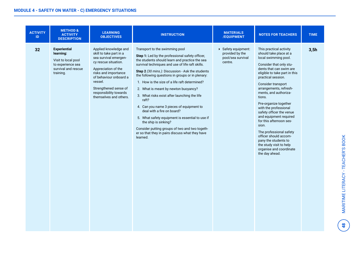| <b>ACTIVITY</b><br>ID | <b>METHOD &amp;</b><br><b>ACTIVITY</b><br><b>DESCRIPTION</b>                                                     | <b>LEARNING</b><br><b>OBJECTIVES</b>                                                                                                                                                                                                                               | <b>INSTRUCTION</b>                                                                                                                                                                                                                                                                                                                                                                                                                                                                                                                                                                                                                                                                                                      | <b>MATERIALS</b><br>/EQUIPMENT                                       | <b>NOTES FOR TEACHERS</b>                                                                                                                                                                                                                                                                                                                                                                                                                                                                                                                                                 | <b>TIME</b> |
|-----------------------|------------------------------------------------------------------------------------------------------------------|--------------------------------------------------------------------------------------------------------------------------------------------------------------------------------------------------------------------------------------------------------------------|-------------------------------------------------------------------------------------------------------------------------------------------------------------------------------------------------------------------------------------------------------------------------------------------------------------------------------------------------------------------------------------------------------------------------------------------------------------------------------------------------------------------------------------------------------------------------------------------------------------------------------------------------------------------------------------------------------------------------|----------------------------------------------------------------------|---------------------------------------------------------------------------------------------------------------------------------------------------------------------------------------------------------------------------------------------------------------------------------------------------------------------------------------------------------------------------------------------------------------------------------------------------------------------------------------------------------------------------------------------------------------------------|-------------|
| 32                    | <b>Experiential</b><br>learning:<br>Visit to local pool<br>to experience sea<br>survival and rescue<br>training. | Applied knowledge and<br>skill to take part in a<br>sea survival emergen-<br>cy rescue situation.<br>Appreciation of the<br>risks and importance<br>of behaviour onboard a<br>vessel.<br>Strengthened sense of<br>responsibility towards<br>themselves and others. | Transport to the swimming pool<br>Step 1: Led by the professional safety officer,<br>the students should learn and practice the sea<br>survival techniques and use of life raft skills.<br>Step 2 (30 mins.): Discussion - Ask the students<br>the following questions in groups or in plenary:<br>1. How is the size of a life raft determined?<br>2. What is meant by newton buoyancy?<br>3. What risks exist after launching the life<br>raft?<br>4. Can you name 3 pieces of equipment to<br>deal with a fire on board?<br>5. What safety equipment is essential to use if<br>the ship is sinking?<br>Consider putting groups of two and two togeth-<br>er so that they in pairs discuss what they have<br>learned. | Safety equipment:<br>provided by the<br>pool/sea survival<br>centre. | This practical activity<br>should take place at a<br>local swimming pool.<br>Consider that only stu-<br>dents that can swim are<br>eligible to take part in this<br>practical session.<br>Consider transport<br>arrangements, refresh-<br>ments, and authoriza-<br>tions.<br>Pre-organize together<br>with the professional<br>safety officer the venue<br>and equipment required<br>for this afternoon ses-<br>sion.<br>The professional safety<br>officer should accom-<br>pany the students to<br>the study visit to help<br>organise and coordinate<br>the day ahead. | 3,5h        |

 $\frac{4}{9}$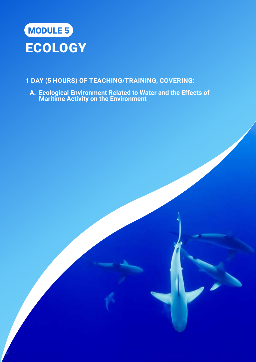

### **1 DAY (5 HOURS) OF TEACHING/TRAINING, COVERING:**

**A. Ecological Environment Related to Water and the Effects of Maritime Activity on the Environment**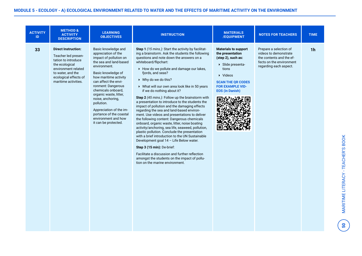<span id="page-49-0"></span>

| <b>ACTIVITY</b><br>ID | <b>METHOD &amp;</b><br><b>ACTIVITY</b><br><b>DESCRIPTION</b>                                                                                                                            | <b>LEARNING</b><br><b>OBJECTIVES</b>                                                                                                                                                                                                                                                                                                                                                                | <b>INSTRUCTION</b>                                                                                                                                                                                                                                                                                                                                                                                                                                                                                                                                                                                                                                                                                                                                                                                                                                                                                                                                                                                                                                                               | <b>MATERIALS</b><br>/EQUIPMENT                                                                                                                                                                                  | <b>NOTES FOR TEACHERS</b>                                                                                                         | <b>TIME</b>    |
|-----------------------|-----------------------------------------------------------------------------------------------------------------------------------------------------------------------------------------|-----------------------------------------------------------------------------------------------------------------------------------------------------------------------------------------------------------------------------------------------------------------------------------------------------------------------------------------------------------------------------------------------------|----------------------------------------------------------------------------------------------------------------------------------------------------------------------------------------------------------------------------------------------------------------------------------------------------------------------------------------------------------------------------------------------------------------------------------------------------------------------------------------------------------------------------------------------------------------------------------------------------------------------------------------------------------------------------------------------------------------------------------------------------------------------------------------------------------------------------------------------------------------------------------------------------------------------------------------------------------------------------------------------------------------------------------------------------------------------------------|-----------------------------------------------------------------------------------------------------------------------------------------------------------------------------------------------------------------|-----------------------------------------------------------------------------------------------------------------------------------|----------------|
| 33                    | <b>Direct Instruction:</b><br>Teacher led presen-<br>tation to introduce<br>the ecological<br>environment related<br>to water, and the<br>ecological effects of<br>maritime activities. | Basic knowledge and<br>appreciation of the<br>impact of pollution on<br>the sea and land-based<br>environment.<br>Basic knowledge of<br>how maritime activity<br>can affect the envi-<br>ronment: Dangerous<br>chemicals onboard,<br>organic waste, litter,<br>noise, anchoring,<br>pollution.<br>Appreciation of the im-<br>portance of the coastal<br>environment and how<br>it can be protected. | Step 1 (15 mins.): Start the activity by facilitat-<br>ing a brainstorm. Ask the students the following<br>questions and note down the answers on a<br>whiteboard/flipchart:<br>> How do we pollute and damage our lakes,<br>fjords, and seas?<br>▶ Why do we do this?<br>> What will our own area look like in 50 years<br>if we do nothing about it?<br>Step 2 (45 mins.): Follow up the brainstorm with<br>a presentation to introduce to the students the<br>impact of pollution and the damaging effects<br>regarding the sea and land-based environ-<br>ment. Use videos and presentations to deliver<br>the following content: Dangerous chemicals<br>onboard, organic waste, litter, noise boating<br>activity/anchoring, sea life, seaweed, pollution,<br>plastic pollution. Conclude the presentation<br>with a brief introduction to the UN Sustainable<br>Development goal 14 - Life Below water.<br>Step 3 (15 min): De-brief:<br>Facilitate a discussion and further reflection<br>amongst the students on the impact of pollu-<br>tion on the marine environment. | <b>Materials to support</b><br>the presentation<br>(step 2), such as:<br>▶ Slide presenta-<br>tions<br>$\triangleright$ Videos<br><b>SCAN THE QR CODES</b><br><b>FOR EXAMPLE VID-</b><br><b>EOS (in Danish)</b> | Prepare a selection of<br>videos to demonstrate<br>the contents and the ef-<br>fects on the environment<br>regarding each aspect. | 1 <sub>h</sub> |

 $\begin{bmatrix} 50 \end{bmatrix}$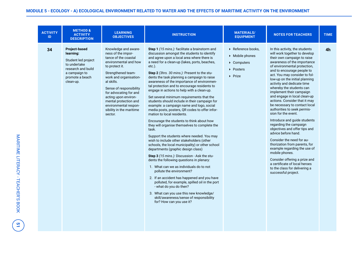| <b>ACTIVITY</b><br>ID | <b>METHOD &amp;</b><br><b>ACTIVITY</b><br><b>DESCRIPTION</b>                                                                                    | <b>LEARNING</b><br><b>OBJECTIVES</b>                                                                                                                                                                                                                                                                                                              | <b>INSTRUCTION</b>                                                                                                                                                                                                                                                                                                                                                                                                                                                                                                                                                                                                                                                                                                                                                                                                                                                                                                                                                                                                                                                                                                                                                                                                                                                                                                                                                                        | <b>MATERIALS/</b><br><b>EQUIPMENT</b>                                                                      | <b>NOTES FOR TEACHERS</b>                                                                                                                                                                                                                                                                                                                                                                                                                                                                                                                                                                                                                                                                                                                                                                                                                                                | <b>TIME</b> |
|-----------------------|-------------------------------------------------------------------------------------------------------------------------------------------------|---------------------------------------------------------------------------------------------------------------------------------------------------------------------------------------------------------------------------------------------------------------------------------------------------------------------------------------------------|-------------------------------------------------------------------------------------------------------------------------------------------------------------------------------------------------------------------------------------------------------------------------------------------------------------------------------------------------------------------------------------------------------------------------------------------------------------------------------------------------------------------------------------------------------------------------------------------------------------------------------------------------------------------------------------------------------------------------------------------------------------------------------------------------------------------------------------------------------------------------------------------------------------------------------------------------------------------------------------------------------------------------------------------------------------------------------------------------------------------------------------------------------------------------------------------------------------------------------------------------------------------------------------------------------------------------------------------------------------------------------------------|------------------------------------------------------------------------------------------------------------|--------------------------------------------------------------------------------------------------------------------------------------------------------------------------------------------------------------------------------------------------------------------------------------------------------------------------------------------------------------------------------------------------------------------------------------------------------------------------------------------------------------------------------------------------------------------------------------------------------------------------------------------------------------------------------------------------------------------------------------------------------------------------------------------------------------------------------------------------------------------------|-------------|
| 34                    | <b>Project-based</b><br>learning:<br>Student led project<br>to undertake<br>research and build<br>a campaign to<br>promote a beach<br>clean-up. | Knowledge and aware-<br>ness of the impor-<br>tance of the coastal<br>environmental and how<br>to protect it.<br>Strengthened team-<br>work and organisation-<br>al skills.<br>Sense of responsibility<br>for advocating for and<br>acting upon environ-<br>mental protection and<br>environmental respon-<br>sibility in the maritime<br>sector. | Step 1 (15 mins.): facilitate a brainstorm and<br>discussion amongst the students to identify<br>and agree upon a local area where there is<br>a need for a clean-up (lakes, ports, beaches,<br>etc.).<br>Step 2 (3hrs. 30 mins.): Present to the stu-<br>dents the task planning a campaign to raise<br>awareness of the importance of environmen-<br>tal protection and to encourage residents to<br>engage in actions to help with a clean-up.<br>Set several minimum requirements that the<br>students should include in their campaign for<br>example: a campaign name and logo, social<br>media posts, posters, QR codes to offer infor-<br>mation to local residents.<br>Encourage the students to think about how<br>they will organise themselves to complete the<br>task.<br>Support the students where needed. You may<br>wish to include other stakeholders (other<br>schools, the local municipality) or other school<br>departments (graphic design class)<br>Step 3 (15 mins.): Discussion - Ask the stu-<br>dents the following questions in plenary:<br>1. What can we as individuals do to not<br>pollute the environment?<br>2. If an accident has happened and you have<br>polluted, for example, spilled oil in the port<br>- what do you do then?<br>3. What can you use this new knowledge/<br>skill/awareness/sense of responsibility<br>for? How can you use it? | ▶ Reference books,<br>• Mobile phones<br>$\triangleright$ Computers<br>▶ Posters<br>$\triangleright$ Prize | In this activity, the students<br>will work together to develop<br>their own campaign to raise<br>awareness of the importance<br>of environmental protection,<br>and to encourage people to<br>act. You may consider to fol-<br>low-up on the initial planning<br>activity and dedicate time<br>whereby the students can<br>implement their campaign<br>and engage in local clean-up<br>actions. Consider that it may<br>be necessary to contact local<br>authorities to seek permis-<br>sion for the event.<br>Introduce and quide students<br>regarding the campaign<br>objectives and offer tips and<br>advice before hand.<br>Consider the need for au-<br>thorization from parents, for<br>example regarding the use of<br>mobile phones.<br>Consider offering a prize and<br>a certificate of local heroes<br>to the class for delivering a<br>successful project. | 4h          |

 $\overline{5}$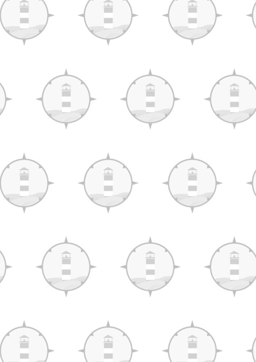







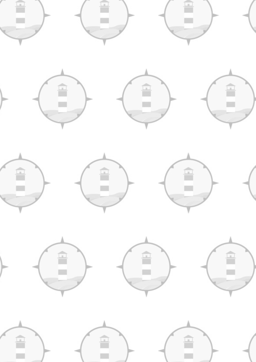